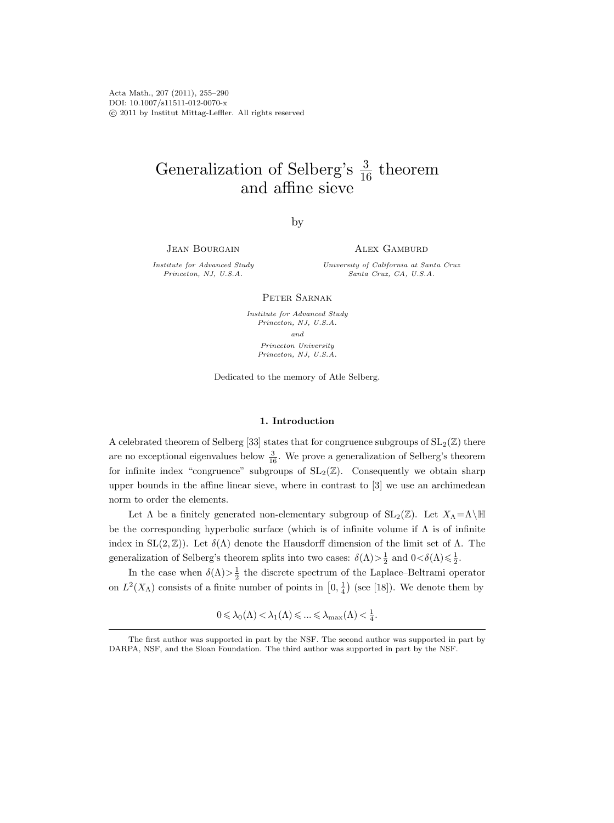Acta Math., 207 (2011), 255–290 DOI: 10.1007/s11511-012-0070-x c 2011 by Institut Mittag-Leffler. All rights reserved

# Generalization of Selberg's  $\frac{3}{16}$  theorem and affine sieve

by

JEAN BOURGAIN

Alex Gamburd

Institute for Advanced Study Princeton, NJ, U.S.A.

University of California at Santa Cruz Santa Cruz, CA, U.S.A.

PETER SARNAK

Institute for Advanced Study Princeton, NJ, U.S.A. and Princeton University Princeton, NJ, U.S.A.

Dedicated to the memory of Atle Selberg.

#### 1. Introduction

A celebrated theorem of Selberg [33] states that for congruence subgroups of  $SL_2(\mathbb{Z})$  there are no exceptional eigenvalues below  $\frac{3}{16}$ . We prove a generalization of Selberg's theorem for infinite index "congruence" subgroups of  $SL_2(\mathbb{Z})$ . Consequently we obtain sharp upper bounds in the affine linear sieve, where in contrast to [3] we use an archimedean norm to order the elements.

Let  $\Lambda$  be a finitely generated non-elementary subgroup of  $SL_2(\mathbb{Z})$ . Let  $X_{\Lambda}=\Lambda\backslash\mathbb{H}$ be the corresponding hyperbolic surface (which is of infinite volume if  $\Lambda$  is of infinite index in  $SL(2,\mathbb{Z})$ . Let  $\delta(\Lambda)$  denote the Hausdorff dimension of the limit set of  $\Lambda$ . The generalization of Selberg's theorem splits into two cases:  $\delta(\Lambda) > \frac{1}{2}$  and  $0 < \delta(\Lambda) \leq \frac{1}{2}$ .

In the case when  $\delta(\Lambda) > \frac{1}{2}$  the discrete spectrum of the Laplace–Beltrami operator on  $L^2(X_\Lambda)$  consists of a finite number of points in  $[0, \frac{1}{4})$  (see [18]). We denote them by

 $0 \leq \lambda_0(\Lambda) < \lambda_1(\Lambda) \leq \ldots \leq \lambda_{\text{max}}(\Lambda) < \frac{1}{4}.$ 

The first author was supported in part by the NSF. The second author was supported in part by DARPA, NSF, and the Sloan Foundation. The third author was supported in part by the NSF.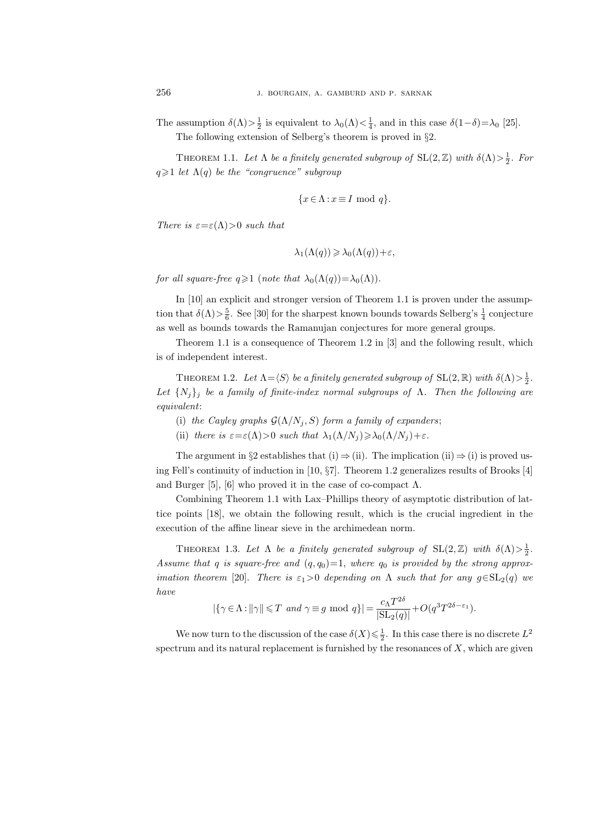The assumption  $\delta(\Lambda) > \frac{1}{2}$  is equivalent to  $\lambda_0(\Lambda) < \frac{1}{4}$ , and in this case  $\delta(1-\delta) = \lambda_0$  [25]. The following extension of Selberg's theorem is proved in §2.

THEOREM 1.1. Let  $\Lambda$  be a finitely generated subgroup of  $SL(2, \mathbb{Z})$  with  $\delta(\Lambda) > \frac{1}{2}$ . For  $q \geq 1$  let  $\Lambda(q)$  be the "congruence" subgroup

$$
\{x \in \Lambda : x \equiv I \text{ mod } q\}.
$$

There is  $\varepsilon = \varepsilon(\Lambda) > 0$  such that

$$
\lambda_1(\Lambda(q)) \geqslant \lambda_0(\Lambda(q)) + \varepsilon,
$$

for all square-free  $q \geq 1$  (note that  $\lambda_0(\Lambda(q)) = \lambda_0(\Lambda)$ ).

In [10] an explicit and stronger version of Theorem 1.1 is proven under the assumption that  $\delta(\Lambda) > \frac{5}{6}$ . See [30] for the sharpest known bounds towards Selberg's  $\frac{1}{4}$  conjecture as well as bounds towards the Ramanujan conjectures for more general groups.

Theorem 1.1 is a consequence of Theorem 1.2 in [3] and the following result, which is of independent interest.

THEOREM 1.2. Let  $\Lambda = \langle S \rangle$  be a finitely generated subgroup of  $\text{SL}(2, \mathbb{R})$  with  $\delta(\Lambda) > \frac{1}{2}$ . Let  $\{N_i\}_i$  be a family of finite-index normal subgroups of  $\Lambda$ . Then the following are equivalent:

- (i) the Cayley graphs  $\mathcal{G}(\Lambda/N_i, S)$  form a family of expanders;
- (ii) there is  $\varepsilon = \varepsilon(\Lambda) > 0$  such that  $\lambda_1(\Lambda/N_j) \geq \lambda_0(\Lambda/N_j) + \varepsilon$ .

The argument in §2 establishes that (i)  $\Rightarrow$  (ii). The implication (ii)  $\Rightarrow$  (i) is proved using Fell's continuity of induction in [10, §7]. Theorem 1.2 generalizes results of Brooks [4] and Burger [5], [6] who proved it in the case of co-compact  $\Lambda$ .

Combining Theorem 1.1 with Lax–Phillips theory of asymptotic distribution of lattice points [18], we obtain the following result, which is the crucial ingredient in the execution of the affine linear sieve in the archimedean norm.

THEOREM 1.3. Let  $\Lambda$  be a finitely generated subgroup of  $SL(2, \mathbb{Z})$  with  $\delta(\Lambda) > \frac{1}{2}$ . Assume that q is square-free and  $(q, q_0)=1$ , where  $q_0$  is provided by the strong approximation theorem [20]. There is  $\varepsilon_1>0$  depending on  $\Lambda$  such that for any  $g \in SL_2(q)$  we have

$$
|\{\gamma \in \Lambda : ||\gamma|| \leq T \text{ and } \gamma \equiv g \mod q\}| = \frac{c_{\Lambda} T^{2\delta}}{|\text{SL}_2(q)|} + O(q^3 T^{2\delta - \varepsilon_1}).
$$

We now turn to the discussion of the case  $\delta(X) \leq \frac{1}{2}$ . In this case there is no discrete  $L^2$ spectrum and its natural replacement is furnished by the resonances of  $X$ , which are given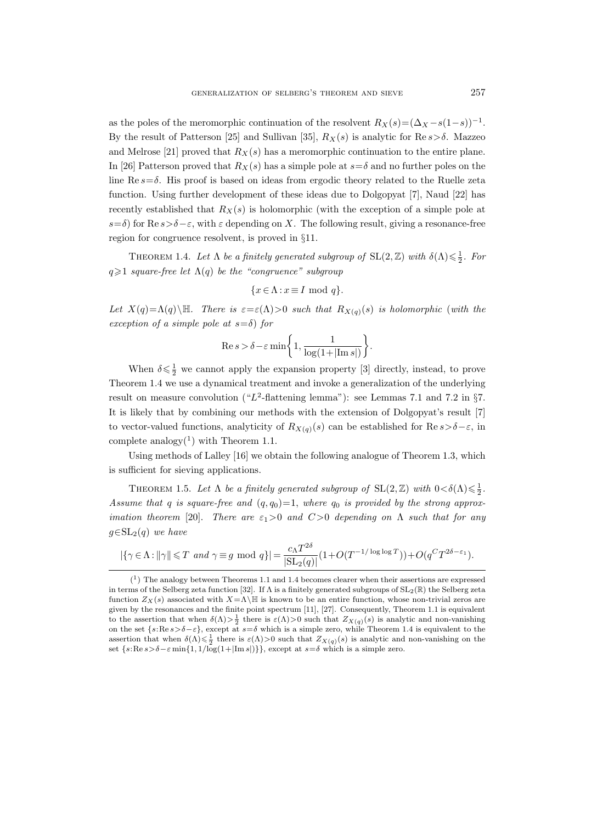as the poles of the meromorphic continuation of the resolvent  $R_X(s)=(\Delta_X - s(1-s))^{-1}$ . By the result of Patterson [25] and Sullivan [35],  $R_X(s)$  is analytic for Re  $s > \delta$ . Mazzeo and Melrose [21] proved that  $R_X(s)$  has a meromorphic continuation to the entire plane. In [26] Patterson proved that  $R_X(s)$  has a simple pole at  $s=\delta$  and no further poles on the line Re  $s=\delta$ . His proof is based on ideas from ergodic theory related to the Ruelle zeta function. Using further development of these ideas due to Dolgopyat [7], Naud [22] has recently established that  $R_X(s)$  is holomorphic (with the exception of a simple pole at s=δ) for Re  $s > \delta - \varepsilon$ , with  $\varepsilon$  depending on X. The following result, giving a resonance-free region for congruence resolvent, is proved in §11.

THEOREM 1.4. Let  $\Lambda$  be a finitely generated subgroup of  $SL(2, \mathbb{Z})$  with  $\delta(\Lambda) \leq \frac{1}{2}$ . For  $q \geq 1$  square-free let  $\Lambda(q)$  be the "congruence" subgroup

$$
\{x \in \Lambda : x \equiv I \text{ mod } q\}.
$$

Let  $X(q) = \Lambda(q) \setminus \mathbb{H}$ . There is  $\varepsilon = \varepsilon(\Lambda) > 0$  such that  $R_{X(q)}(s)$  is holomorphic (with the exception of a simple pole at  $s=\delta$ ) for

$$
\operatorname{Re} s > \delta - \varepsilon \min \left\{ 1, \frac{1}{\log(1 + |\operatorname{Im} s|)} \right\}.
$$

When  $\delta \leq \frac{1}{2}$  we cannot apply the expansion property [3] directly, instead, to prove Theorem 1.4 we use a dynamical treatment and invoke a generalization of the underlying result on measure convolution (" $L^2$ -flattening lemma"): see Lemmas 7.1 and 7.2 in §7. It is likely that by combining our methods with the extension of Dolgopyat's result [7] to vector-valued functions, analyticity of  $R_{X(q)}(s)$  can be established for  $\text{Re}\,s > \delta - \varepsilon$ , in complete analogy $(1)$  with Theorem 1.1.

Using methods of Lalley [16] we obtain the following analogue of Theorem 1.3, which is sufficient for sieving applications.

THEOREM 1.5. Let  $\Lambda$  be a finitely generated subgroup of  $SL(2, \mathbb{Z})$  with  $0 < \delta(\Lambda) \leq \frac{1}{2}$ . Assume that q is square-free and  $(q, q_0)=1$ , where  $q_0$  is provided by the strong approximation theorem [20]. There are  $\varepsilon_1>0$  and  $C>0$  depending on  $\Lambda$  such that for any  $g \in SL_2(q)$  we have

$$
|\{\gamma \in \Lambda : ||\gamma|| \leq T \text{ and } \gamma \equiv g \text{ mod } q\}| = \frac{c_{\Lambda} T^{2\delta}}{|\text{SL}_2(q)|} (1 + O(T^{-1/\log \log T})) + O(q^C T^{2\delta - \varepsilon_1}).
$$

<sup>(</sup> 1 ) The analogy between Theorems 1.1 and 1.4 becomes clearer when their assertions are expressed in terms of the Selberg zeta function [32]. If  $\Lambda$  is a finitely generated subgroups of  $SL_2(\mathbb{R})$  the Selberg zeta function  $Z_X(s)$  associated with  $X = \Lambda \backslash \mathbb{H}$  is known to be an entire function, whose non-trivial zeros are given by the resonances and the finite point spectrum [11], [27]. Consequently, Theorem 1.1 is equivalent to the assertion that when  $\delta(\Lambda) > \frac{1}{2}$  there is  $\varepsilon(\Lambda) > 0$  such that  $Z_{X(q)}(s)$  is analytic and non-vanishing on the set  $\{s: \text{Re}\, s > \delta - \varepsilon\}$ , except at  $s = \delta$  which is a simple zero, while Theorem 1.4 is equivalent to the assertion that when  $\delta(\Lambda) \leq \frac{1}{2}$  there is  $\varepsilon(\Lambda) > 0$  such that  $Z_{X(q)}(s)$  is analytic and non-vanishing on the set  $\{s: \text{Re } s > \delta - \varepsilon \min\{1, 1/\log(1+|\text{Im } s|)\}\}\,$ , except at  $s = \delta$  which is a simple zero.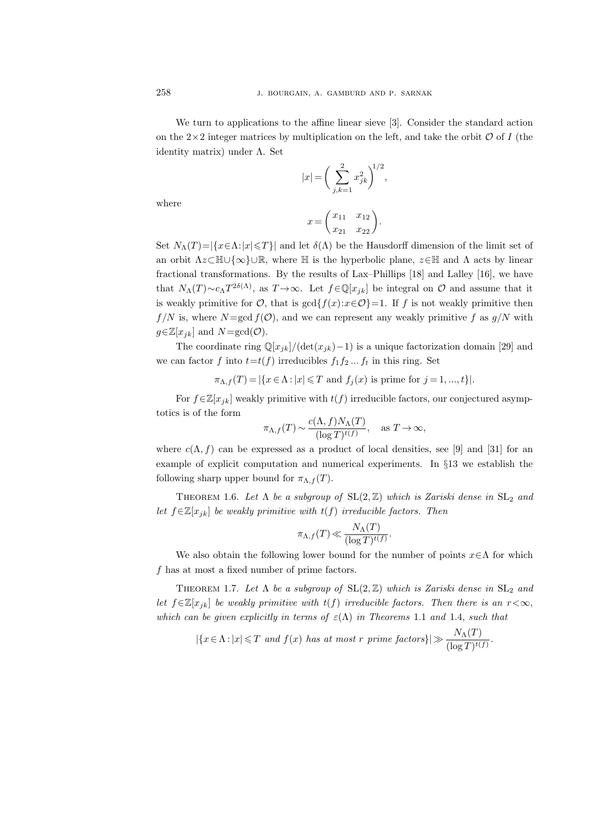We turn to applications to the affine linear sieve [3]. Consider the standard action on the  $2\times 2$  integer matrices by multiplication on the left, and take the orbit  $\mathcal O$  of I (the identity matrix) under Λ. Set

$$
|x| = \left(\sum_{j,k=1}^{2} x_{jk}^2\right)^{1/2},
$$

where

$$
x = \begin{pmatrix} x_{11} & x_{12} \\ x_{21} & x_{22} \end{pmatrix}.
$$

Set  $N_\Lambda(T)=|\{x\in\Lambda:|x|\leq T\}|$  and let  $\delta(\Lambda)$  be the Hausdorff dimension of the limit set of an orbit  $\Lambda z \subset \mathbb{H} \cup \{\infty\} \cup \mathbb{R}$ , where  $\mathbb{H}$  is the hyperbolic plane,  $z \in \mathbb{H}$  and  $\Lambda$  acts by linear fractional transformations. By the results of Lax–Phillips [18] and Lalley [16], we have that  $N_{\Lambda}(T) \sim c_{\Lambda} T^{2\delta(\Lambda)}$ , as  $T \to \infty$ . Let  $f \in \mathbb{Q}[x_{jk}]$  be integral on  $\mathcal O$  and assume that it is weakly primitive for  $\mathcal{O}$ , that is  $gcd{f(x):x \in \mathcal{O}} = 1$ . If f is not weakly primitive then  $f/N$  is, where  $N = \gcd f(\mathcal{O})$ , and we can represent any weakly primitive f as  $g/N$  with  $g \in \mathbb{Z}[x_{jk}]$  and  $N = \gcd(\mathcal{O})$ .

The coordinate ring  $\mathbb{Q}[x_{jk}]/(\det(x_{jk})-1)$  is a unique factorization domain [29] and we can factor f into  $t=t(f)$  irreducibles  $f_1f_2...f_t$  in this ring. Set

$$
\pi_{\Lambda,f}(T)=|\{x\in\Lambda:|x|\leqslant T\text{ and }f_j(x)\text{ is prime for }j=1,...,t\}|.
$$

For  $f \in \mathbb{Z}[x_{jk}]$  weakly primitive with  $t(f)$  irreducible factors, our conjectured asymptotics is of the form

$$
\pi_{\Lambda,f}(T) \sim \frac{c(\Lambda, f)N_{\Lambda}(T)}{(\log T)^{t(f)}}, \text{ as } T \to \infty,
$$

where  $c(\Lambda, f)$  can be expressed as a product of local densities, see [9] and [31] for an example of explicit computation and numerical experiments. In §13 we establish the following sharp upper bound for  $\pi_{\Lambda,f}(T)$ .

THEOREM 1.6. Let  $\Lambda$  be a subgroup of  $SL(2, \mathbb{Z})$  which is Zariski dense in  $SL_2$  and let  $f \in \mathbb{Z}[x_{jk}]$  be weakly primitive with  $t(f)$  irreducible factors. Then

$$
\pi_{\Lambda,f}(T)\ll \frac{N_{\Lambda}(T)}{(\log T)^{t(f)}}.
$$

We also obtain the following lower bound for the number of points  $x \in \Lambda$  for which f has at most a fixed number of prime factors.

THEOREM 1.7. Let  $\Lambda$  be a subgroup of  $SL(2,\mathbb{Z})$  which is Zariski dense in  $SL_2$  and let  $f \in \mathbb{Z}[x_{jk}]$  be weakly primitive with  $t(f)$  irreducible factors. Then there is an  $r < \infty$ , which can be given explicitly in terms of  $\varepsilon(\Lambda)$  in Theorems 1.1 and 1.4, such that

$$
|\{x \in \Lambda : |x| \leq T \text{ and } f(x) \text{ has at most } r \text{ prime factors}\}|\gg \frac{N_{\Lambda}(T)}{(\log T)^{t(f)}}.
$$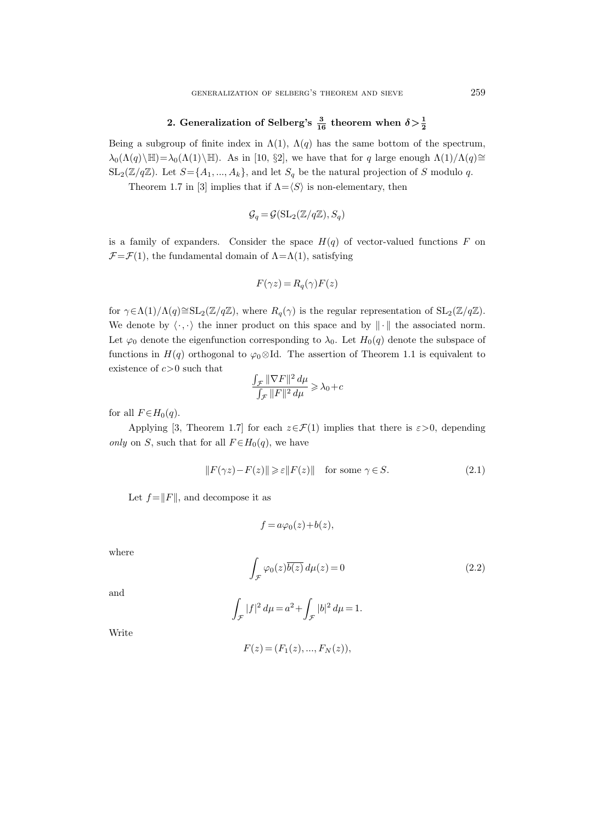# 2. Generalization of Selberg's  $\frac{3}{16}$  theorem when  $\delta > \frac{1}{2}$

Being a subgroup of finite index in  $\Lambda(1)$ ,  $\Lambda(q)$  has the same bottom of the spectrum,  $\lambda_0(\Lambda(q)\backslash\mathbb{H})=\lambda_0(\Lambda(1)\backslash\mathbb{H})$ . As in [10, §2], we have that for q large enough  $\Lambda(1)/\Lambda(q)\cong$  $SL_2(\mathbb{Z}/q\mathbb{Z})$ . Let  $S = \{A_1, ..., A_k\}$ , and let  $S_q$  be the natural projection of S modulo q.

Theorem 1.7 in [3] implies that if  $\Lambda = \langle S \rangle$  is non-elementary, then

$$
\mathcal{G}_q = \mathcal{G}(\mathrm{SL}_2(\mathbb{Z}/q\mathbb{Z}), S_q)
$$

is a family of expanders. Consider the space  $H(q)$  of vector-valued functions F on  $\mathcal{F}=\mathcal{F}(1)$ , the fundamental domain of  $\Lambda=\Lambda(1)$ , satisfying

$$
F(\gamma z) = R_q(\gamma) F(z)
$$

for  $\gamma \in \Lambda(1)/\Lambda(q) \cong SL_2(\mathbb{Z}/q\mathbb{Z})$ , where  $R_q(\gamma)$  is the regular representation of  $SL_2(\mathbb{Z}/q\mathbb{Z})$ . We denote by  $\langle \cdot, \cdot \rangle$  the inner product on this space and by  $\|\cdot\|$  the associated norm. Let  $\varphi_0$  denote the eigenfunction corresponding to  $\lambda_0$ . Let  $H_0(q)$  denote the subspace of functions in  $H(q)$  orthogonal to  $\varphi_0 \otimes \mathrm{Id}$ . The assertion of Theorem 1.1 is equivalent to existence of  $c > 0$  such that

$$
\frac{\int_{\mathcal{F}} \|\nabla F\|^2 \, d\mu}{\int_{\mathcal{F}} \|F\|^2 \, d\mu} \geqslant \lambda_0 + c
$$

for all  $F \in H_0(q)$ .

Applying [3, Theorem 1.7] for each  $z \in \mathcal{F}(1)$  implies that there is  $\varepsilon > 0$ , depending only on S, such that for all  $F \in H_0(q)$ , we have

$$
||F(\gamma z) - F(z)|| \ge \varepsilon ||F(z)|| \quad \text{for some } \gamma \in S. \tag{2.1}
$$

Let  $f = ||F||$ , and decompose it as

$$
f = a\varphi_0(z) + b(z),
$$

where

$$
\int_{\mathcal{F}} \varphi_0(z) \overline{b(z)} \, d\mu(z) = 0 \tag{2.2}
$$

and

$$
\int_{\mathcal{F}} |f|^2 \, d\mu = a^2 + \int_{\mathcal{F}} |b|^2 \, d\mu = 1.
$$

Write

$$
F(z) = (F_1(z), ..., F_N(z)),
$$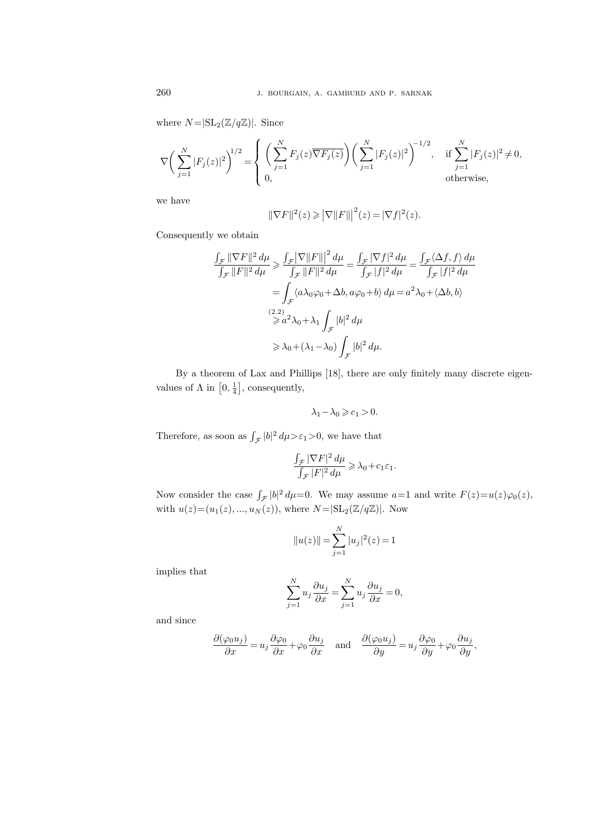where  $N = |\mathrm{SL}_2(\mathbb{Z}/q\mathbb{Z})|$ . Since

$$
\nabla \bigg( \sum_{j=1}^N |F_j(z)|^2 \bigg)^{\!\!1/2} = \!\! \left\{ \left( \sum_{j=1}^N F_j(z) \overline{\nabla} F_j(z) \right) \!\! \left( \sum_{j=1}^N |F_j(z)|^2 \right)^{\!\!-1/2}, \quad \text{if } \sum_{j=1}^N |F_j(z)|^2 \neq 0, \\ 0, \qquad \qquad \text{otherwise},
$$

we have

$$
\|\nabla F\|^2(z) \geqslant \left|\nabla ||F||\right|^2(z) = |\nabla f|^2(z).
$$

Consequently we obtain

$$
\frac{\int_{\mathcal{F}} \|\nabla F\|^2 d\mu}{\int_{\mathcal{F}} \|F\|^2 d\mu} \ge \frac{\int_{\mathcal{F}} |\nabla ||F||^2 d\mu}{\int_{\mathcal{F}} ||F\|^2 d\mu} = \frac{\int_{\mathcal{F}} |\nabla f|^2 d\mu}{\int_{\mathcal{F}} |f|^2 d\mu} = \frac{\int_{\mathcal{F}} \langle \Delta f, f \rangle d\mu}{\int_{\mathcal{F}} |f|^2 d\mu}
$$

$$
= \int_{\mathcal{F}} \langle a\lambda_0 \varphi_0 + \Delta b, a\varphi_0 + b \rangle d\mu = a^2 \lambda_0 + \langle \Delta b, b \rangle
$$

$$
\stackrel{(2.2)}{\geq a^2} \lambda_0 + \lambda_1 \int_{\mathcal{F}} |b|^2 d\mu
$$

$$
\geq \lambda_0 + (\lambda_1 - \lambda_0) \int_{\mathcal{F}} |b|^2 d\mu.
$$

By a theorem of Lax and Phillips [18], there are only finitely many discrete eigenvalues of  $\Lambda$  in  $\left[0, \frac{1}{4}\right]$ , consequently,

$$
\lambda_1 - \lambda_0 \geqslant c_1 > 0.
$$

Therefore, as soon as  $\int_{\mathcal{F}} |b|^2 d\mu > \varepsilon_1 > 0$ , we have that

$$
\frac{\int_{\mathcal{F}}|\nabla F|^2\,d\mu}{\int_{\mathcal{F}}|F|^2\,d\mu}\geqslant \lambda_0+c_1\varepsilon_1.
$$

Now consider the case  $\int_{\mathcal{F}} |b|^2 d\mu = 0$ . We may assume  $a=1$  and write  $F(z)=u(z)\varphi_0(z)$ , with  $u(z)=(u_1(z),..., u_N(z)),$  where  $N = |SL_2(\mathbb{Z}/q\mathbb{Z})|$ . Now

$$
||u(z)|| = \sum_{j=1}^{N} |u_j|^2(z) = 1
$$

implies that

$$
\sum_{j=1}^{N} u_j \frac{\partial u_j}{\partial x} = \sum_{j=1}^{N} u_j \frac{\partial u_j}{\partial x} = 0,
$$

and since

$$
\frac{\partial(\varphi_0 u_j)}{\partial x} = u_j \frac{\partial \varphi_0}{\partial x} + \varphi_0 \frac{\partial u_j}{\partial x} \quad \text{and} \quad \frac{\partial(\varphi_0 u_j)}{\partial y} = u_j \frac{\partial \varphi_0}{\partial y} + \varphi_0 \frac{\partial u_j}{\partial y},
$$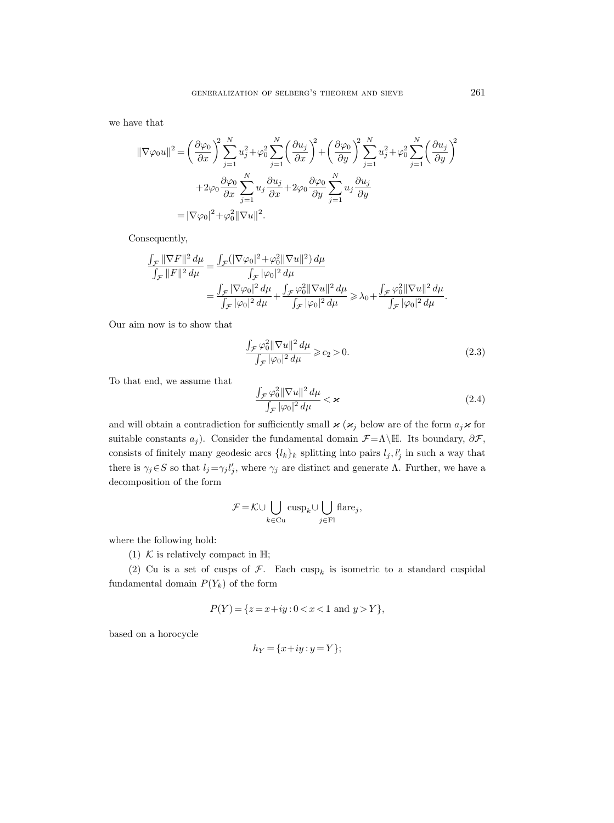we have that

$$
\begin{split} \|\nabla\varphi_{0}u\|^{2} &= \left(\frac{\partial\varphi_{0}}{\partial x}\right)^{2}\sum_{j=1}^{N}u_{j}^{2}+\varphi_{0}^{2}\sum_{j=1}^{N}\left(\frac{\partial u_{j}}{\partial x}\right)^{2}+\left(\frac{\partial\varphi_{0}}{\partial y}\right)^{2}\sum_{j=1}^{N}u_{j}^{2}+\varphi_{0}^{2}\sum_{j=1}^{N}\left(\frac{\partial u_{j}}{\partial y}\right)^{2} \\ &+2\varphi_{0}\frac{\partial\varphi_{0}}{\partial x}\sum_{j=1}^{N}u_{j}\frac{\partial u_{j}}{\partial x}+2\varphi_{0}\frac{\partial\varphi_{0}}{\partial y}\sum_{j=1}^{N}u_{j}\frac{\partial u_{j}}{\partial y} \\ &=|\nabla\varphi_{0}|^{2}+\varphi_{0}^{2}\|\nabla u\|^{2}. \end{split}
$$

Consequently,

$$
\frac{\int_{\mathcal{F}} ||\nabla F||^2 d\mu}{\int_{\mathcal{F}} ||F||^2 d\mu} = \frac{\int_{\mathcal{F}} (|\nabla \varphi_0|^2 + \varphi_0^2 ||\nabla u||^2) d\mu}{\int_{\mathcal{F}} |\varphi_0|^2 d\mu}
$$
  

$$
= \frac{\int_{\mathcal{F}} |\nabla \varphi_0|^2 d\mu}{\int_{\mathcal{F}} |\varphi_0|^2 d\mu} + \frac{\int_{\mathcal{F}} \varphi_0^2 ||\nabla u||^2 d\mu}{\int_{\mathcal{F}} |\varphi_0|^2 d\mu} \ge \lambda_0 + \frac{\int_{\mathcal{F}} \varphi_0^2 ||\nabla u||^2 d\mu}{\int_{\mathcal{F}} |\varphi_0|^2 d\mu}.
$$

Our aim now is to show that

$$
\frac{\int_{\mathcal{F}} \varphi_0^2 \|\nabla u\|^2 d\mu}{\int_{\mathcal{F}} |\varphi_0|^2 d\mu} \geqslant c_2 > 0.
$$
\n(2.3)

To that end, we assume that

$$
\frac{\int_{\mathcal{F}}\varphi_0^2 \|\nabla u\|^2 d\mu}{\int_{\mathcal{F}}|\varphi_0|^2 d\mu} < \varkappa \tag{2.4}
$$

and will obtain a contradiction for sufficiently small  $\varkappa$  ( $\varkappa_j$  below are of the form  $a_j \varkappa$  for suitable constants  $a_j$ ). Consider the fundamental domain  $\mathcal{F}=\Lambda\backslash\mathbb{H}$ . Its boundary,  $\partial\mathcal{F}$ , consists of finitely many geodesic arcs  $\{l_k\}_k$  splitting into pairs  $l_j, l'_j$  in such a way that there is  $\gamma_j \in S$  so that  $l_j = \gamma_j l'_j$ , where  $\gamma_j$  are distinct and generate  $\Lambda$ . Further, we have a decomposition of the form

$$
\mathcal{F} = \mathcal{K} \cup \bigcup_{k \in \text{Cu}} \text{cusp}_k \cup \bigcup_{j \in \text{Fl}} \text{flare}_j,
$$

where the following hold:

(1) K is relatively compact in  $\mathbb{H}$ ;

(2) Cu is a set of cusps of  $\mathcal{F}$ . Each cusp<sub>k</sub> is isometric to a standard cuspidal fundamental domain  $P(Y_k)$  of the form

$$
P(Y) = \{ z = x + iy : 0 < x < 1 \text{ and } y > Y \},
$$

based on a horocycle

$$
h_Y = \{x+iy : y = Y\};
$$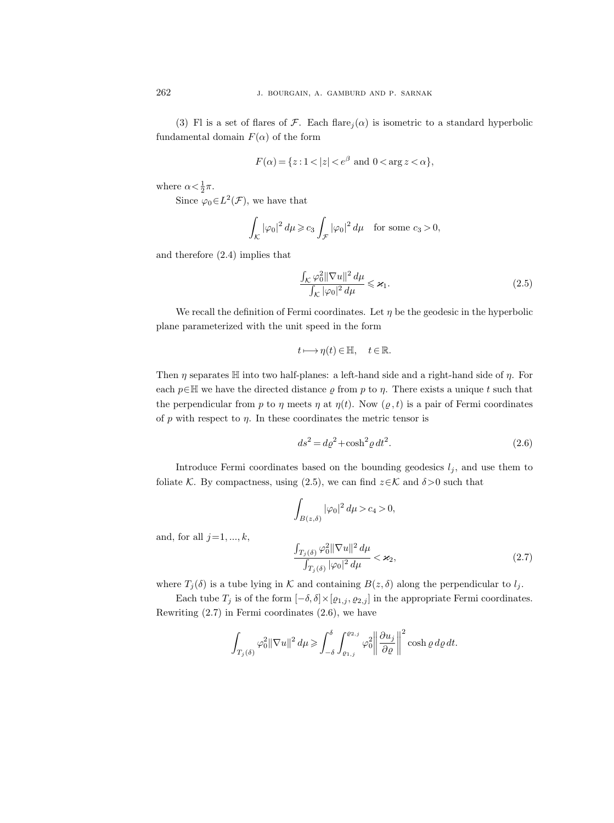(3) Fl is a set of flares of F. Each flare $i(\alpha)$  is isometric to a standard hyperbolic fundamental domain  $F(\alpha)$  of the form

$$
F(\alpha) = \{ z : 1 < |z| < e^{\beta} \text{ and } 0 < \arg z < \alpha \},\
$$

where  $\alpha < \frac{1}{2}\pi$ .

Since  $\varphi_0 \in L^2(\mathcal{F})$ , we have that

$$
\int_{\mathcal{K}} |\varphi_0|^2 \, d\mu \geq c_3 \int_{\mathcal{F}} |\varphi_0|^2 \, d\mu \quad \text{for some } c_3 > 0,
$$

and therefore (2.4) implies that

and, for all  $j=1, ..., k$ ,

$$
\frac{\int_{\mathcal{K}}\varphi_0^2 \|\nabla u\|^2 d\mu}{\int_{\mathcal{K}}|\varphi_0|^2 d\mu} \leqslant \varkappa_1. \tag{2.5}
$$

We recall the definition of Fermi coordinates. Let  $\eta$  be the geodesic in the hyperbolic plane parameterized with the unit speed in the form

$$
t\longmapsto \eta(t)\in \mathbb{H},\quad t\in \mathbb{R}.
$$

Then  $\eta$  separates  $\mathbb H$  into two half-planes: a left-hand side and a right-hand side of  $\eta$ . For each  $p \in \mathbb{H}$  we have the directed distance  $\varrho$  from p to  $\eta$ . There exists a unique t such that the perpendicular from p to  $\eta$  meets  $\eta$  at  $\eta(t)$ . Now  $(\varrho, t)$  is a pair of Fermi coordinates of  $p$  with respect to  $\eta$ . In these coordinates the metric tensor is

$$
ds^2 = d\varrho^2 + \cosh^2 \varrho \, dt^2. \tag{2.6}
$$

Introduce Fermi coordinates based on the bounding geodesics  $l_j$ , and use them to foliate K. By compactness, using (2.5), we can find  $z \in \mathcal{K}$  and  $\delta > 0$  such that

$$
\int_{B(z,\delta)} |\varphi_0|^2 d\mu > c_4 > 0,
$$
\n
$$
\frac{\int_{T_j(\delta)} \varphi_0^2 \|\nabla u\|^2 d\mu}{\int_{T_j(\delta)} |\varphi_0|^2 d\mu} < \varkappa_2,
$$
\n(2.7)

where  $T_j(\delta)$  is a tube lying in K and containing  $B(z, \delta)$  along the perpendicular to  $l_j$ .

Each tube  $T_j$  is of the form  $[-\delta, \delta] \times [\varrho_{1,j}, \varrho_{2,j}]$  in the appropriate Fermi coordinates. Rewriting  $(2.7)$  in Fermi coordinates  $(2.6)$ , we have

$$
\int_{T_j(\delta)} \varphi_0^2 \| \nabla u \|^2 \, d\mu \ge \int_{-\delta}^{\delta} \int_{\varrho_{1,j}}^{\varrho_{2,j}} \varphi_0^2 \left\| \frac{\partial u_j}{\partial \varrho} \right\|^2 \cosh \varrho \, d\varrho \, dt.
$$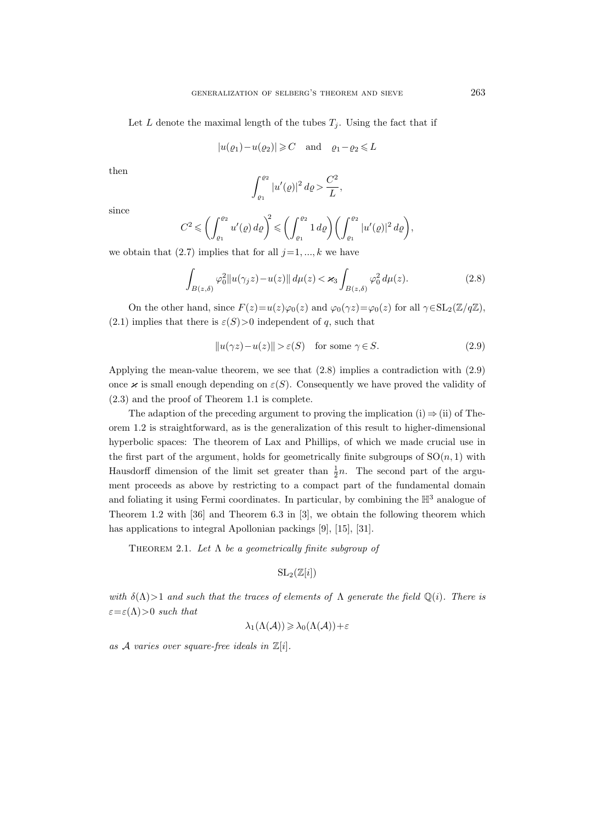Let L denote the maximal length of the tubes  $T_i$ . Using the fact that if

$$
|u(\varrho_1)-u(\varrho_2)| \geqslant C
$$
 and  $\varrho_1-\varrho_2 \leqslant L$ 

then

$$
\int_{\varrho_1}^{\varrho_2} |u'(\varrho)|^2 \, d\varrho > \frac{C^2}{L},
$$

since

$$
C^2 \leqslant \left(\int_{\varrho_1}^{\varrho_2} u'(\varrho) \, d\varrho\right)^2 \leqslant \left(\int_{\varrho_1}^{\varrho_2} 1 \, d\varrho\right) \left(\int_{\varrho_1}^{\varrho_2} |u'(\varrho)|^2 \, d\varrho\right),
$$

we obtain that  $(2.7)$  implies that for all  $j=1, ..., k$  we have

$$
\int_{B(z,\delta)} \varphi_0^2 \|u(\gamma_j z) - u(z)\| \, d\mu(z) < \varkappa_3 \int_{B(z,\delta)} \varphi_0^2 \, d\mu(z). \tag{2.8}
$$

On the other hand, since  $F(z)=u(z)\varphi_0(z)$  and  $\varphi_0(\gamma z)=\varphi_0(z)$  for all  $\gamma \in SL_2(\mathbb{Z}/q\mathbb{Z})$ , (2.1) implies that there is  $\varepsilon(S) > 0$  independent of q, such that

$$
||u(\gamma z) - u(z)|| > \varepsilon(S) \quad \text{for some } \gamma \in S. \tag{2.9}
$$

Applying the mean-value theorem, we see that (2.8) implies a contradiction with (2.9) once  $\varkappa$  is small enough depending on  $\varepsilon(S)$ . Consequently we have proved the validity of (2.3) and the proof of Theorem 1.1 is complete.

The adaption of the preceding argument to proving the implication (i)  $\Rightarrow$  (ii) of Theorem 1.2 is straightforward, as is the generalization of this result to higher-dimensional hyperbolic spaces: The theorem of Lax and Phillips, of which we made crucial use in the first part of the argument, holds for geometrically finite subgroups of  $SO(n,1)$  with Hausdorff dimension of the limit set greater than  $\frac{1}{2}n$ . The second part of the argument proceeds as above by restricting to a compact part of the fundamental domain and foliating it using Fermi coordinates. In particular, by combining the  $\mathbb{H}^3$  analogue of Theorem 1.2 with [36] and Theorem 6.3 in [3], we obtain the following theorem which has applications to integral Apollonian packings [9], [15], [31].

THEOREM 2.1. Let  $\Lambda$  be a geometrically finite subgroup of

$$
\mathrm{SL}_2(\mathbb{Z}[i])
$$

with  $\delta(\Lambda) > 1$  and such that the traces of elements of  $\Lambda$  generate the field  $\mathbb{Q}(i)$ . There is  $\varepsilon = \varepsilon(\Lambda) > 0$  such that

$$
\lambda_1(\Lambda(\mathcal{A})) \geqslant \lambda_0(\Lambda(\mathcal{A})) + \varepsilon
$$

as A varies over square-free ideals in  $\mathbb{Z}[i]$ .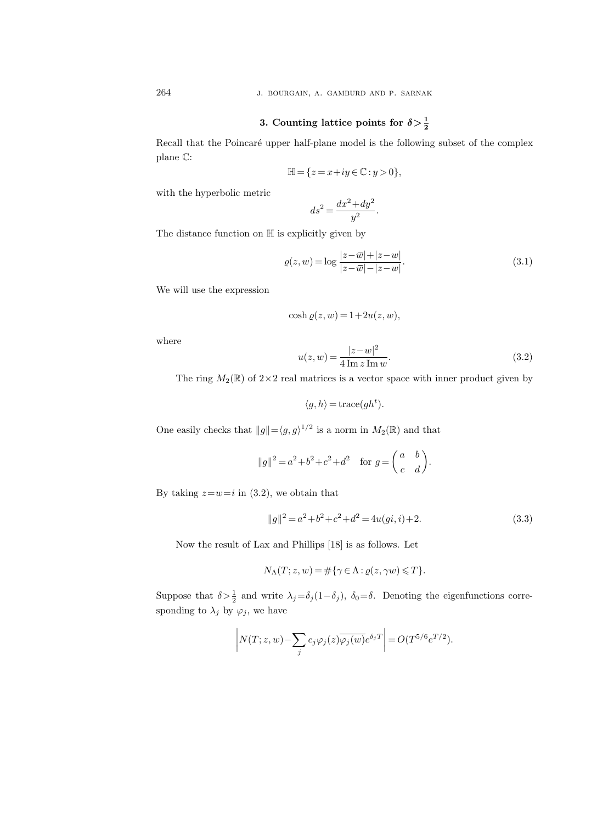264 j. bourgain, a. gamburd and p. sarnak

# 3. Counting lattice points for  $\delta > \frac{1}{2}$

Recall that the Poincaré upper half-plane model is the following subset of the complex plane C:

$$
\mathbb{H} = \{ z = x + iy \in \mathbb{C} : y > 0 \},
$$

with the hyperbolic metric

$$
ds^2 = \frac{dx^2 + dy^2}{y^2}.
$$

The distance function on  $\mathbb H$  is explicitly given by

$$
\varrho(z, w) = \log \frac{|z - \overline{w}| + |z - w|}{|z - \overline{w}| - |z - w|}.
$$
\n(3.1)

We will use the expression

$$
\cosh \varrho(z, w) = 1 + 2u(z, w),
$$

where

$$
u(z, w) = \frac{|z - w|^2}{4 \operatorname{Im} z \operatorname{Im} w}.
$$
 (3.2)

The ring  $M_2(\mathbb{R})$  of  $2\times 2$  real matrices is a vector space with inner product given by

$$
\langle g, h \rangle = \text{trace}(gh^t).
$$

One easily checks that  $||g|| = \langle g, g \rangle^{1/2}$  is a norm in  $M_2(\mathbb{R})$  and that

$$
||g||^2 = a^2 + b^2 + c^2 + d^2 \quad \text{for } g = \begin{pmatrix} a & b \\ c & d \end{pmatrix}.
$$

By taking  $z=w=i$  in (3.2), we obtain that

$$
||g||^2 = a^2 + b^2 + c^2 + d^2 = 4u(gi, i) + 2.
$$
\n(3.3)

Now the result of Lax and Phillips [18] is as follows. Let

$$
N_{\Lambda}(T; z, w) = \#\{\gamma \in \Lambda : \varrho(z, \gamma w) \leq T\}.
$$

Suppose that  $\delta > \frac{1}{2}$  and write  $\lambda_j = \delta_j(1-\delta_j)$ ,  $\delta_0 = \delta$ . Denoting the eigenfunctions corresponding to  $\lambda_j$  by  $\varphi_j$ , we have

$$
\left| N(T; z, w) - \sum_{j} c_j \varphi_j(z) \overline{\varphi_j(w)} e^{\delta_j T} \right| = O(T^{5/6} e^{T/2}).
$$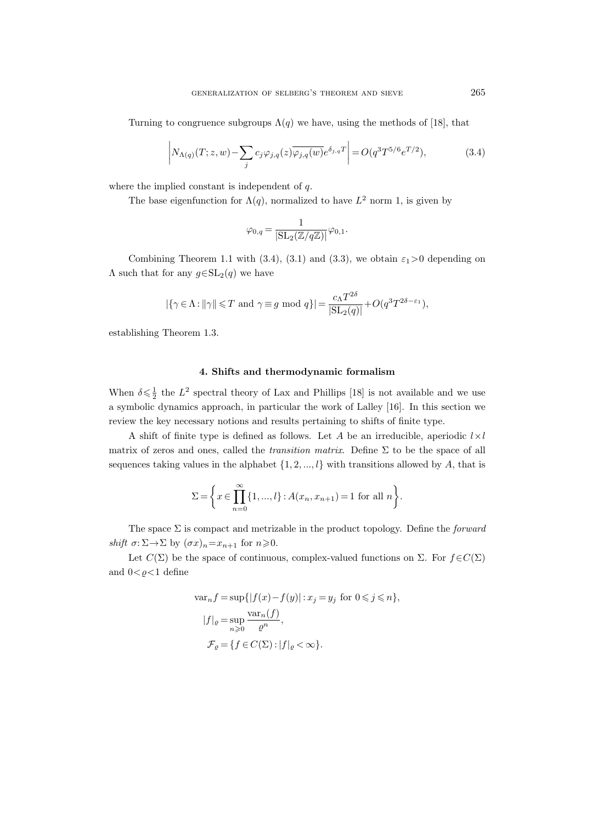Turning to congruence subgroups  $\Lambda(q)$  we have, using the methods of [18], that

$$
\left| N_{\Lambda(q)}(T; z, w) - \sum_{j} c_{j} \varphi_{j,q}(z) \overline{\varphi_{j,q}(w)} e^{\delta_{j,q} T} \right| = O(q^3 T^{5/6} e^{T/2}), \tag{3.4}
$$

where the implied constant is independent of  $q$ .

The base eigenfunction for  $\Lambda(q)$ , normalized to have  $L^2$  norm 1, is given by

$$
\varphi_{0,q}=\frac{1}{|\mathrm{SL}_2(\mathbb{Z}/q\mathbb{Z})|}\varphi_{0,1}.
$$

Combining Theorem 1.1 with (3.4), (3.1) and (3.3), we obtain  $\varepsilon_1 > 0$  depending on  $\Lambda$  such that for any  $g \in SL_2(q)$  we have

$$
|\{\gamma \in \Lambda : ||\gamma|| \leq T \text{ and } \gamma \equiv g \mod q\}| = \frac{c_{\Lambda} T^{2\delta}}{|\text{SL}_2(q)|} + O(q^3 T^{2\delta - \varepsilon_1}),
$$

establishing Theorem 1.3.

#### 4. Shifts and thermodynamic formalism

When  $\delta \leq \frac{1}{2}$  the  $L^2$  spectral theory of Lax and Phillips [18] is not available and we use a symbolic dynamics approach, in particular the work of Lalley [16]. In this section we review the key necessary notions and results pertaining to shifts of finite type.

A shift of finite type is defined as follows. Let A be an irreducible, aperiodic  $l \times l$ matrix of zeros and ones, called the *transition matrix*. Define  $\Sigma$  to be the space of all sequences taking values in the alphabet  $\{1, 2, ..., l\}$  with transitions allowed by A, that is

$$
\Sigma = \left\{ x \in \prod_{n=0}^{\infty} \{1, ..., l\} : A(x_n, x_{n+1}) = 1 \text{ for all } n \right\}.
$$

The space  $\Sigma$  is compact and metrizable in the product topology. Define the *forward* shift  $\sigma: \Sigma \to \Sigma$  by  $(\sigma x)_n = x_{n+1}$  for  $n \geq 0$ .

Let  $C(\Sigma)$  be the space of continuous, complex-valued functions on  $\Sigma$ . For  $f \in C(\Sigma)$ and  $0 < \rho < 1$  define

$$
\begin{aligned} \text{var}_n f &= \sup \{|f(x) - f(y)| : x_j = y_j \text{ for } 0 \leqslant j \leqslant n\}, \\ |f|_{\varrho} &= \sup_{n \geqslant 0} \frac{\text{var}_n(f)}{\varrho^n}, \\ \mathcal{F}_{\varrho} &= \{f \in C(\Sigma) : |f|_{\varrho} < \infty\}. \end{aligned}
$$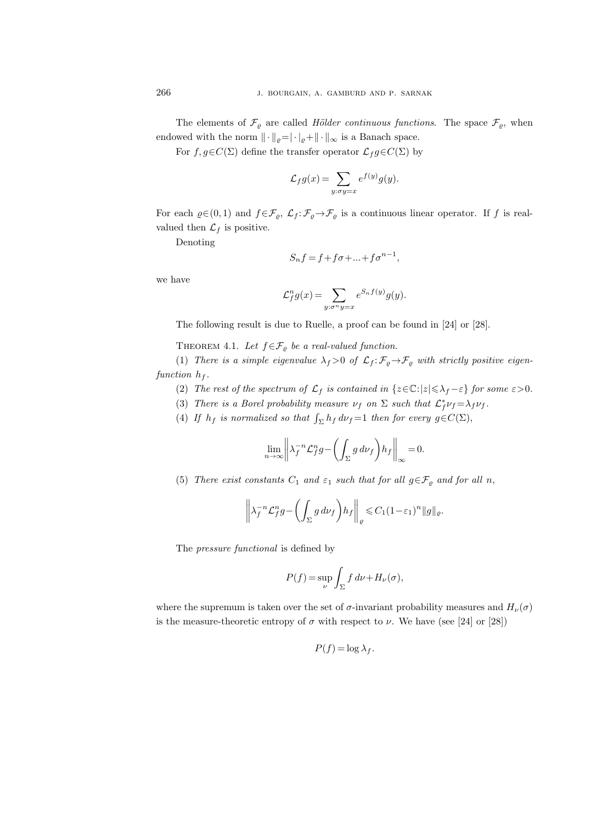The elements of  $\mathcal{F}_{\varrho}$  are called *Hölder continuous functions*. The space  $\mathcal{F}_{\varrho}$ , when endowed with the norm  $\|\cdot\|_{\varrho} = |\cdot|_{\varrho} + \|\cdot\|_{\infty}$  is a Banach space.

For  $f, g \in C(\Sigma)$  define the transfer operator  $\mathcal{L}_f g \in C(\Sigma)$  by

$$
\mathcal{L}_f g(x) = \sum_{y:\sigma y = x} e^{f(y)} g(y).
$$

For each  $\varrho \in (0, 1)$  and  $f \in \mathcal{F}_{\varrho}, \mathcal{L}_f : \mathcal{F}_{\varrho} \to \mathcal{F}_{\varrho}$  is a continuous linear operator. If f is realvalued then  $\mathcal{L}_f$  is positive.

Denoting

$$
S_n f = f + f \sigma + \dots + f \sigma^{n-1},
$$

we have

$$
\mathcal{L}_f^n g(x) = \sum_{y:\sigma^n y = x} e^{S_n f(y)} g(y).
$$

The following result is due to Ruelle, a proof can be found in [24] or [28].

THEOREM 4.1. Let  $f \in \mathcal{F}_{\varrho}$  be a real-valued function.

(1) There is a simple eigenvalue  $\lambda_f > 0$  of  $\mathcal{L}_f : \mathcal{F}_\varrho \to \mathcal{F}_\varrho$  with strictly positive eigenfunction  $h_f$ .

- (2) The rest of the spectrum of  $\mathcal{L}_f$  is contained in  $\{z \in \mathbb{C} : |z| \leq \lambda_f \varepsilon\}$  for some  $\varepsilon > 0$ .
- (3) There is a Borel probability measure  $\nu_f$  on  $\Sigma$  such that  $\mathcal{L}_f^* \nu_f = \lambda_f \nu_f$ .
- (4) If  $h_f$  is normalized so that  $\int_{\Sigma} h_f d\nu_f = 1$  then for every  $g \in C(\Sigma)$ ,

$$
\lim_{n \to \infty} \left\| \lambda_f^{-n} \mathcal{L}_f^n g - \left( \int_{\Sigma} g \, d\nu_f \right) h_f \right\|_{\infty} = 0.
$$

(5) There exist constants  $C_1$  and  $\varepsilon_1$  such that for all  $g \in \mathcal{F}_\varrho$  and for all n,

$$
\left\|\lambda_f^{-n}\mathcal{L}_f^n g - \left(\int_{\Sigma} g \, d\nu_f\right) h_f\right\|_e \leq C_1 (1-\varepsilon_1)^n \|g\|_e.
$$

The pressure functional is defined by

$$
P(f) = \sup_{\nu} \int_{\Sigma} f \, d\nu + H_{\nu}(\sigma),
$$

where the supremum is taken over the set of  $\sigma$ -invariant probability measures and  $H_{\nu}(\sigma)$ is the measure-theoretic entropy of  $\sigma$  with respect to  $\nu$ . We have (see [24] or [28])

$$
P(f) = \log \lambda_f.
$$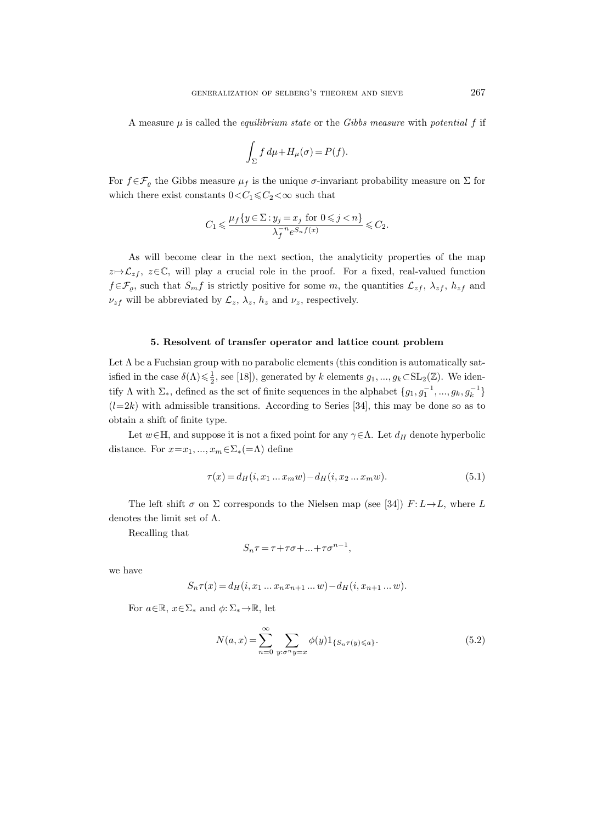A measure  $\mu$  is called the *equilibrium state* or the *Gibbs measure with potential* f if

$$
\int_{\Sigma} f d\mu + H_{\mu}(\sigma) = P(f).
$$

For  $f \in \mathcal{F}_{\varrho}$  the Gibbs measure  $\mu_f$  is the unique  $\sigma$ -invariant probability measure on  $\Sigma$  for which there exist constants  $0 < C_1 \leq C_2 < \infty$  such that

$$
C_1\leqslant \frac{\mu_f\{y\in \Sigma: y_j=x_j \ \text{ for } 0\leqslant j
$$

As will become clear in the next section, the analyticity properties of the map  $z \mapsto \mathcal{L}_{zf}, z \in \mathbb{C}$ , will play a crucial role in the proof. For a fixed, real-valued function  $f \in \mathcal{F}_{\varrho}$ , such that  $S_m f$  is strictly positive for some m, the quantities  $\mathcal{L}_{zf}$ ,  $\lambda_{zf}$ ,  $h_{zf}$  and  $\nu_{zf}$  will be abbreviated by  $\mathcal{L}_z$ ,  $\lambda_z$ ,  $h_z$  and  $\nu_z$ , respectively.

#### 5. Resolvent of transfer operator and lattice count problem

Let  $\Lambda$  be a Fuchsian group with no parabolic elements (this condition is automatically satisfied in the case  $\delta(\Lambda) \leq \frac{1}{2}$ , see [18]), generated by k elements  $g_1, ..., g_k \subset SL_2(\mathbb{Z})$ . We identify  $\Lambda$  with  $\Sigma_*$ , defined as the set of finite sequences in the alphabet  $\{g_1, g_1^{-1}, ..., g_k, g_k^{-1}\}$  $(l=2k)$  with admissible transitions. According to Series [34], this may be done so as to obtain a shift of finite type.

Let  $w \in \mathbb{H}$ , and suppose it is not a fixed point for any  $\gamma \in \Lambda$ . Let  $d_H$  denote hyperbolic distance. For  $x=x_1, ..., x_m \in \Sigma_*(=\Lambda)$  define

$$
\tau(x) = d_H(i, x_1 \dots x_m w) - d_H(i, x_2 \dots x_m w). \tag{5.1}
$$

The left shift  $\sigma$  on  $\Sigma$  corresponds to the Nielsen map (see [34])  $F: L \rightarrow L$ , where L denotes the limit set of Λ.

Recalling that

$$
S_n \tau = \tau + \tau \sigma + \dots + \tau \sigma^{n-1},
$$

we have

$$
S_n \tau(x) = d_H(i, x_1 \dots x_n x_{n+1} \dots w) - d_H(i, x_{n+1} \dots w).
$$

For  $a \in \mathbb{R}$ ,  $x \in \Sigma^*$  and  $\phi: \Sigma^* \to \mathbb{R}$ , let

$$
N(a,x) = \sum_{n=0}^{\infty} \sum_{y:\sigma^n y = x} \phi(y) 1_{\{S_n \tau(y) \leq a\}}.
$$
\n
$$
(5.2)
$$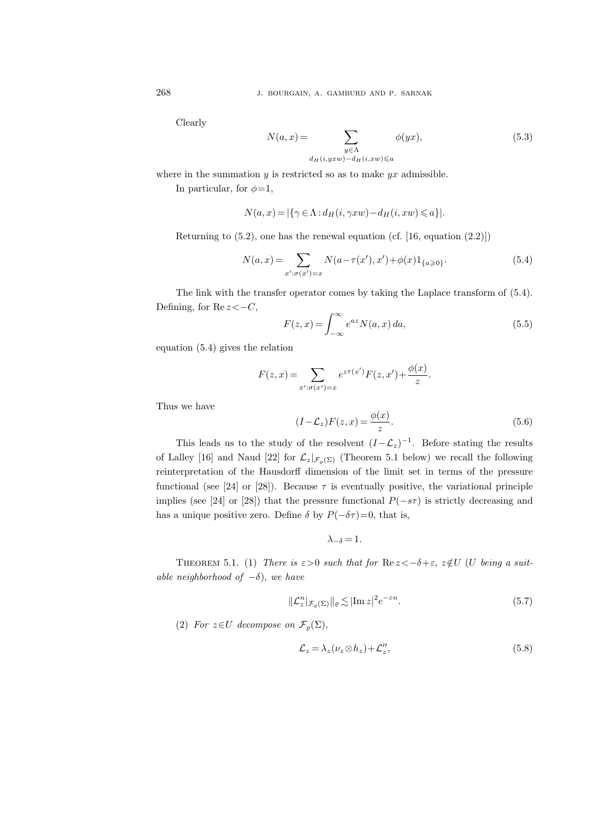Clearly

$$
N(a,x) = \sum_{\substack{y \in \Lambda \\ d_H(i, yxw) - d_H(i, xw) \le a}} \phi(yx),\tag{5.3}
$$

where in the summation  $y$  is restricted so as to make  $yx$  admissible.

In particular, for  $\phi=1$ ,

$$
N(a,x) = |\{\gamma \in \Lambda : d_H(i, \gamma xw) - d_H(i, xw) \leq a\}|.
$$

Returning to  $(5.2)$ , one has the renewal equation  $(cf. [16, equation (2.2)])$ 

$$
N(a,x) = \sum_{x':\sigma(x')=x} N(a-\tau(x'),x') + \phi(x)1_{\{a\geq 0\}}.
$$
\n(5.4)

The link with the transfer operator comes by taking the Laplace transform of (5.4). Defining, for  $\text{Re } z < -C$ ,

$$
F(z,x) = \int_{-\infty}^{\infty} e^{az} N(a,x) da,
$$
\n(5.5)

equation (5.4) gives the relation

$$
F(z, x) = \sum_{x': \sigma(x') = x} e^{z\tau(x')} F(z, x') + \frac{\phi(x)}{z}.
$$

Thus we have

$$
(I - \mathcal{L}_z)F(z, x) = \frac{\phi(x)}{z}.
$$
\n(5.6)

This leads us to the study of the resolvent  $(I-\mathcal{L}_z)^{-1}$ . Before stating the results of Lalley [16] and Naud [22] for  $\mathcal{L}_z|_{\mathcal{F}_\varrho(\Sigma)}$  (Theorem 5.1 below) we recall the following reinterpretation of the Hausdorff dimension of the limit set in terms of the pressure functional (see [24] or [28]). Because  $\tau$  is eventually positive, the variational principle implies (see [24] or [28]) that the pressure functional  $P(-s\tau)$  is strictly decreasing and has a unique positive zero. Define  $\delta$  by  $P(-\delta \tau) = 0$ , that is,

$$
\lambda_{-\delta}=1.
$$

THEOREM 5.1. (1) There is  $\varepsilon > 0$  such that for  $\text{Re } z < -\delta + \varepsilon$ ,  $z \notin U$  (U being a suitable neighborhood of  $-\delta$ ), we have

$$
\|\mathcal{L}_z^n\|_{\mathcal{F}_\varrho(\Sigma)}\|_\varrho \lesssim |\text{Im}\, z|^2 e^{-\varepsilon n}.\tag{5.7}
$$

(2) For  $z \in U$  decompose on  $\mathcal{F}_{\rho}(\Sigma)$ ,

$$
\mathcal{L}_z = \lambda_z (\nu_z \otimes h_z) + \mathcal{L}_z'',\tag{5.8}
$$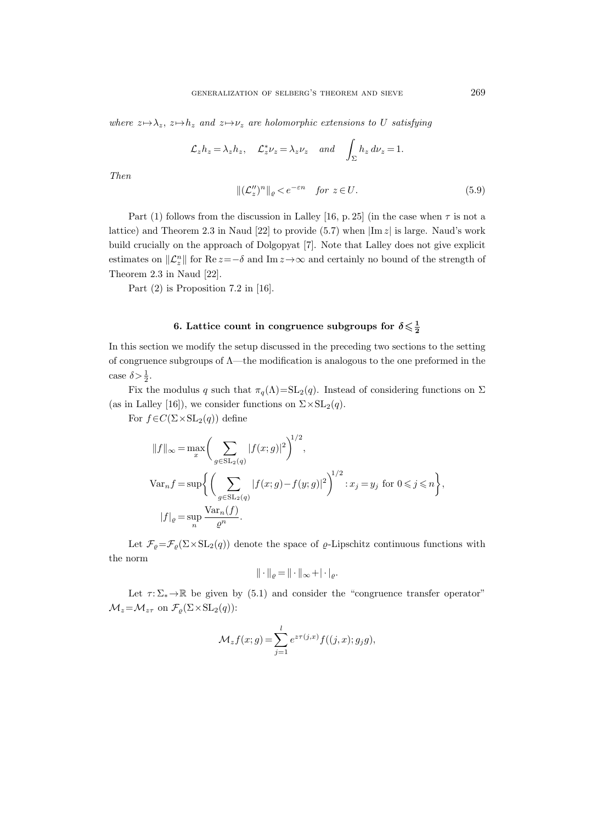where  $z \mapsto \lambda_z$ ,  $z \mapsto h_z$  and  $z \mapsto \nu_z$  are holomorphic extensions to U satisfying

$$
\mathcal{L}_z h_z = \lambda_z h_z, \quad \mathcal{L}_z^* \nu_z = \lambda_z \nu_z \quad and \quad \int_{\Sigma} h_z d\nu_z = 1.
$$

Then

$$
\|(\mathcal{L}_z'')^n\|_{\varrho} < e^{-\varepsilon n} \quad \text{for } z \in U. \tag{5.9}
$$

Part (1) follows from the discussion in Lalley [16, p. 25] (in the case when  $\tau$  is not a lattice) and Theorem 2.3 in Naud [22] to provide (5.7) when  $|\text{Im } z|$  is large. Naud's work build crucially on the approach of Dolgopyat [7]. Note that Lalley does not give explicit estimates on  $\|\mathcal{L}_z^n\|$  for  $\text{Re } z = -\delta$  and  $\text{Im } z \to \infty$  and certainly no bound of the strength of Theorem 2.3 in Naud [22].

Part  $(2)$  is Proposition 7.2 in [16].

# 6. Lattice count in congruence subgroups for  $\delta\!\leqslant\!\frac{1}{2}$

In this section we modify the setup discussed in the preceding two sections to the setting of congruence subgroups of Λ—the modification is analogous to the one preformed in the case  $\delta > \frac{1}{2}$ .

Fix the modulus q such that  $\pi_q(\Lambda)=SL_2(q)$ . Instead of considering functions on  $\Sigma$ (as in Lalley [16]), we consider functions on  $\Sigma \times SL_2(q)$ .

For  $f \in C(\Sigma \times SL_2(q))$  define

$$
||f||_{\infty} = \max_{x} \bigg( \sum_{g \in SL_2(q)} |f(x;g)|^2 \bigg)^{1/2},
$$
  
\n
$$
Var_n f = \sup \bigg\{ \bigg( \sum_{g \in SL_2(q)} |f(x;g) - f(y;g)|^2 \bigg)^{1/2} : x_j = y_j \text{ for } 0 \leq j \leq n \bigg\},
$$
  
\n
$$
|f|_{\varrho} = \sup_n \frac{\text{Var}_n(f)}{\varrho^n}.
$$

Let  $\mathcal{F}_{\varrho} = \mathcal{F}_{\varrho}(\Sigma \times SL_2(q))$  denote the space of  $\varrho$ -Lipschitz continuous functions with the norm

$$
\|\cdot\|_{\varrho}=\|\cdot\|_{\infty}+|\cdot|_{\varrho}.
$$

Let  $\tau: \Sigma_* \to \mathbb{R}$  be given by (5.1) and consider the "congruence transfer operator"  $\mathcal{M}_z = \mathcal{M}_{z\tau}$  on  $\mathcal{F}_{\varrho}(\Sigma \times SL_2(q))$ :

$$
\mathcal{M}_z f(x; g) = \sum_{j=1}^l e^{z\tau(j,x)} f((j,x); g_j g),
$$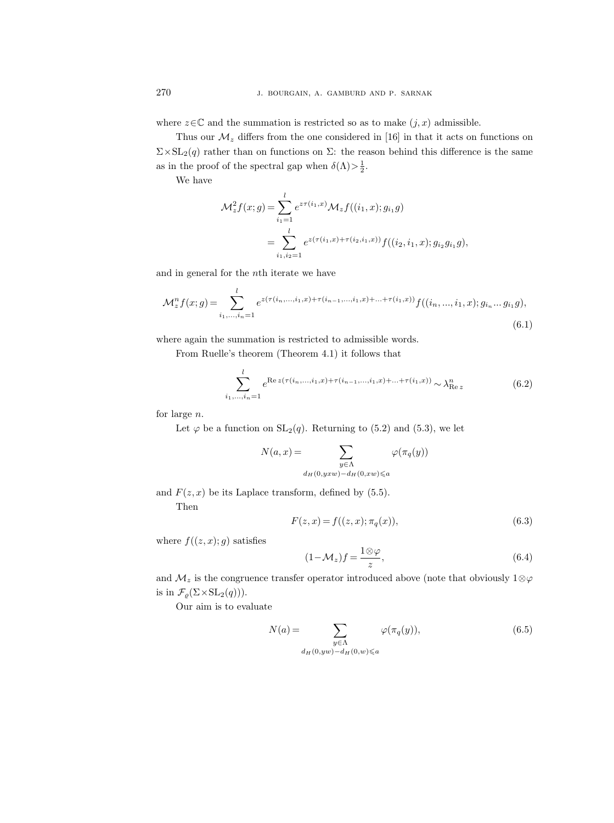where  $z \in \mathbb{C}$  and the summation is restricted so as to make  $(j, x)$  admissible.

Thus our  $\mathcal{M}_z$  differs from the one considered in [16] in that it acts on functions on  $\Sigma \times SL_2(q)$  rather than on functions on  $\Sigma$ : the reason behind this difference is the same as in the proof of the spectral gap when  $\delta(\Lambda) > \frac{1}{2}$ .

We have

$$
\mathcal{M}_z^2 f(x; g) = \sum_{i_1=1}^l e^{z\tau(i_1, x)} \mathcal{M}_z f((i_1, x); g_{i_1} g)
$$
  
= 
$$
\sum_{i_1, i_2=1}^l e^{z(\tau(i_1, x) + \tau(i_2, i_1, x))} f((i_2, i_1, x); g_{i_2} g_{i_1} g),
$$

and in general for the nth iterate we have

$$
\mathcal{M}_z^n f(x; g) = \sum_{i_1, \dots, i_n = 1}^l e^{z(\tau(i_n, \dots, i_1, x) + \tau(i_{n-1}, \dots, i_1, x) + \dots + \tau(i_1, x))} f((i_n, \dots, i_1, x); g_{i_n} \dots g_{i_1} g),
$$
\n(6.1)

where again the summation is restricted to admissible words.

From Ruelle's theorem (Theorem 4.1) it follows that

$$
\sum_{i_1,\dots,i_n=1}^l e^{\operatorname{Re} z(\tau(i_n,\dots,i_1,x)+\tau(i_{n-1},\dots,i_1,x)+\dots+\tau(i_1,x))} \sim \lambda_{\operatorname{Re} z}^n \tag{6.2}
$$

for large n.

Let  $\varphi$  be a function on  $SL_2(q)$ . Returning to (5.2) and (5.3), we let

$$
N(a,x) = \sum_{\substack{y \in \Lambda \\ d_H(0,yxw) - d_H(0,xw) \le a}} \varphi(\pi_q(y))
$$

and  $F(z, x)$  be its Laplace transform, defined by (5.5).

Then

$$
F(z, x) = f((z, x); \pi_q(x)),
$$
\n(6.3)

where  $f((z, x); g)$  satisfies

$$
(1 - \mathcal{M}_z)f = \frac{1 \otimes \varphi}{z},\tag{6.4}
$$

and  $M_z$  is the congruence transfer operator introduced above (note that obviously 1⊗ $\varphi$ is in  $\mathcal{F}_\varrho(\Sigma\!\times\!{\rm SL}_2(q))).$ 

Our aim is to evaluate

$$
N(a) = \sum_{\substack{y \in \Lambda \\ d_H(0, yw) - d_H(0, w) \le a}} \varphi(\pi_q(y)),\tag{6.5}
$$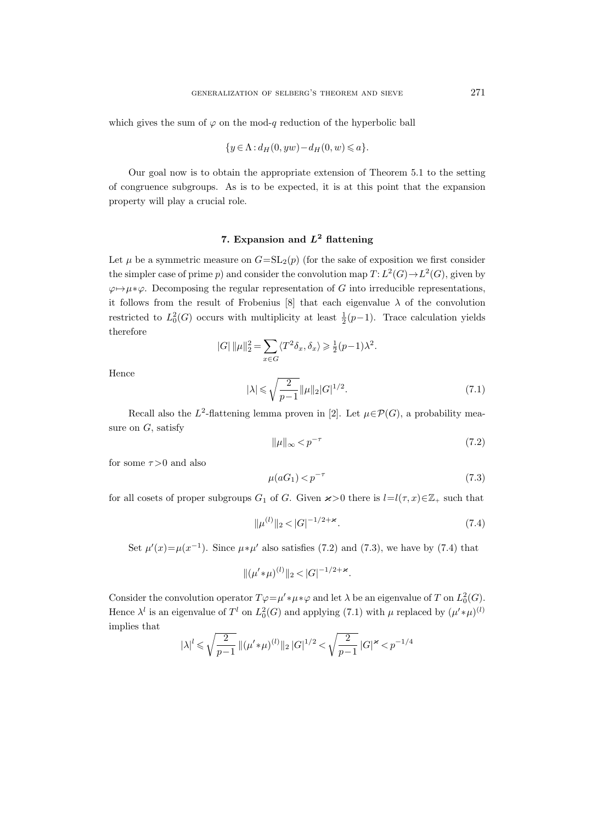which gives the sum of  $\varphi$  on the mod-q reduction of the hyperbolic ball

$$
\{y \in \Lambda : d_H(0, yw) - d_H(0, w) \leqslant a\}.
$$

Our goal now is to obtain the appropriate extension of Theorem 5.1 to the setting of congruence subgroups. As is to be expected, it is at this point that the expansion property will play a crucial role.

### 7. Expansion and  $L^2$  flattening

Let  $\mu$  be a symmetric measure on  $G=\mathrm{SL}_2(p)$  (for the sake of exposition we first consider the simpler case of prime  $p$ ) and consider the convolution map  $T: L^2(G) \to L^2(G)$ , given by  $\varphi \mapsto \mu * \varphi$ . Decomposing the regular representation of G into irreducible representations, it follows from the result of Frobenius [8] that each eigenvalue  $\lambda$  of the convolution restricted to  $L_0^2(G)$  occurs with multiplicity at least  $\frac{1}{2}(p-1)$ . Trace calculation yields therefore

$$
|G| ||\mu||_2^2 = \sum_{x \in G} \langle T^2 \delta_x, \delta_x \rangle \ge \frac{1}{2} (p-1)\lambda^2.
$$

Hence

$$
|\lambda| \leqslant \sqrt{\frac{2}{p-1}} \|\mu\|_2 |G|^{1/2}.
$$
\n(7.1)

Recall also the L<sup>2</sup>-flattening lemma proven in [2]. Let  $\mu \in \mathcal{P}(G)$ , a probability measure on  $G$ , satisfy

$$
\|\mu\|_{\infty} < p^{-\tau} \tag{7.2}
$$

for some  $\tau > 0$  and also

$$
\mu(aG_1) < p^{-\tau} \tag{7.3}
$$

for all cosets of proper subgroups  $G_1$  of G. Given  $\varkappa >0$  there is  $l=l(\tau, x) \in \mathbb{Z}_+$  such that

$$
\|\mu^{(l)}\|_2 < |G|^{-1/2 + \varkappa}.\tag{7.4}
$$

Set  $\mu'(x) = \mu(x^{-1})$ . Since  $\mu * \mu'$  also satisfies (7.2) and (7.3), we have by (7.4) that

$$
\|(\mu' * \mu)^{(l)}\|_2 < |G|^{-1/2 + \varkappa}.
$$

Consider the convolution operator  $T\varphi = \mu' * \mu * \varphi$  and let  $\lambda$  be an eigenvalue of T on  $L_0^2(G)$ . Hence  $\lambda^l$  is an eigenvalue of  $T^l$  on  $L_0^2(G)$  and applying (7.1) with  $\mu$  replaced by  $(\mu' * \mu)^{(l)}$ implies that

$$
|\lambda|^l \leqslant \sqrt{\frac{2}{p-1}} \; \|(\mu' * \mu)^{(l)}\|_2 \, |G|^{1/2} < \sqrt{\frac{2}{p-1}} \, |G|^\varkappa < p^{-1/4}
$$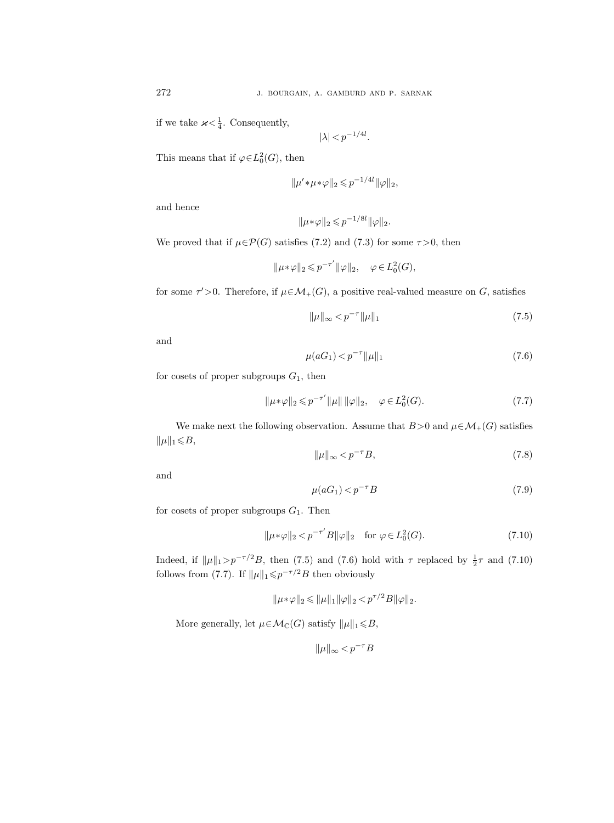if we take  $\varkappa < \frac{1}{4}$ . Consequently,

$$
|\lambda| < p^{-1/4l}.
$$

This means that if  $\varphi \in L_0^2(G)$ , then

$$
\|\mu' * \mu * \varphi\|_2 \leqslant p^{-1/4l} \|\varphi\|_2,
$$

and hence

$$
\|\mu*\varphi\|_2 \leqslant p^{-1/8l} \|\varphi\|_2.
$$

We proved that if  $\mu \in \mathcal{P}(G)$  satisfies (7.2) and (7.3) for some  $\tau > 0$ , then

$$
\|\mu * \varphi\|_2 \leqslant p^{-\tau'} \|\varphi\|_2, \quad \varphi \in L_0^2(G),
$$

for some  $\tau' > 0$ . Therefore, if  $\mu \in \mathcal{M}_+(G)$ , a positive real-valued measure on G, satisfies

$$
\|\mu\|_{\infty} < p^{-\tau} \|\mu\|_{1} \tag{7.5}
$$

and

$$
\mu(aG_1) < p^{-\tau} \|\mu\|_1 \tag{7.6}
$$

for cosets of proper subgroups  $G_1$ , then

$$
\|\mu * \varphi\|_2 \leqslant p^{-\tau'} \|\mu\| \|\varphi\|_2, \quad \varphi \in L^2_0(G). \tag{7.7}
$$

We make next the following observation. Assume that  $B>0$  and  $\mu \in \mathcal{M}_+(G)$  satisfies  $\|\mu\|_1 \leq B,$ 

$$
\|\mu\|_{\infty} < p^{-\tau}B,\tag{7.8}
$$

and

$$
\mu(aG_1) < p^{-\tau}B \tag{7.9}
$$

for cosets of proper subgroups  $G_1$ . Then

$$
\|\mu * \varphi\|_2 < p^{-\tau'} B \|\varphi\|_2 \quad \text{for } \varphi \in L^2_0(G). \tag{7.10}
$$

Indeed, if  $\|\mu\|_1 > p^{-\tau/2}B$ , then (7.5) and (7.6) hold with  $\tau$  replaced by  $\frac{1}{2}\tau$  and (7.10) follows from (7.7). If  $\|\mu\|_1 \leqslant p^{-\tau/2}B$  then obviously

$$
\|\mu * \varphi\|_2 \le \|\mu\|_1 \|\varphi\|_2 < p^{\tau/2} B \|\varphi\|_2.
$$

More generally, let  $\mu \in \mathcal{M}_{\mathbb{C}}(G)$  satisfy  $\|\mu\|_1 \leq B$ ,

$$
\|\mu\|_{\infty} < p^{-\tau}B
$$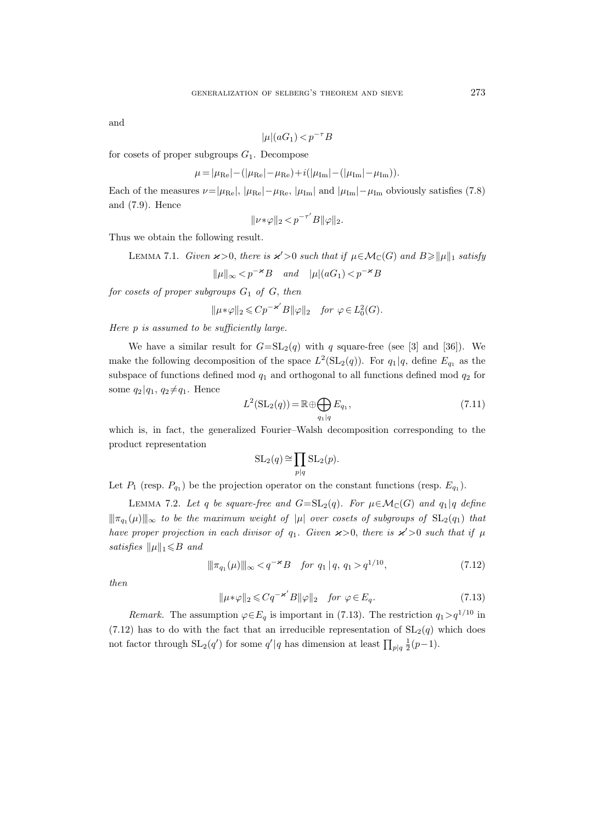and

$$
|\mu|(aG_1) < p^{-\tau}B
$$

for cosets of proper subgroups  $G_1$ . Decompose

$$
\mu = |\mu_{\text{Re}}| - (|\mu_{\text{Re}}| - \mu_{\text{Re}}) + i(|\mu_{\text{Im}}| - (|\mu_{\text{Im}}| - \mu_{\text{Im}})).
$$

Each of the measures  $\nu=|\mu_{\text{Re}}|, |\mu_{\text{Re}}|- \mu_{\text{Re}}|, |\mu_{\text{Im}}|$  and  $|\mu_{\text{Im}}|-\mu_{\text{Im}}$  obviously satisfies (7.8) and (7.9). Hence

$$
\|\nu * \varphi\|_2 < p^{-\tau'}B\|\varphi\|_2.
$$

Thus we obtain the following result.

LEMMA 7.1. Given  $\varkappa > 0$ , there is  $\varkappa' > 0$  such that if  $\mu \in \mathcal{M}_{\mathbb{C}}(G)$  and  $B \geq \|\mu\|_1$  satisfy

 $||\mu||_{\infty} < p^{-\varkappa}B$  and  $|\mu|(aG_1) < p^{-\varkappa}B$ 

for cosets of proper subgroups  $G_1$  of  $G$ , then

$$
\|\mu*\varphi\|_2 \leqslant Cp^{-\varkappa'}B\|\varphi\|_2 \quad \text{for } \varphi \in L_0^2(G).
$$

Here p is assumed to be sufficiently large.

We have a similar result for  $G=\mathrm{SL}_2(q)$  with q square-free (see [3] and [36]). We make the following decomposition of the space  $L^2(\mathrm{SL}_2(q))$ . For  $q_1 | q$ , define  $E_{q_1}$  as the subspace of functions defined mod  $q_1$  and orthogonal to all functions defined mod  $q_2$  for some  $q_2 | q_1, q_2 \neq q_1$ . Hence

$$
L^{2}(\mathrm{SL}_{2}(q)) = \mathbb{R} \oplus \bigoplus_{q_{1}|q} E_{q_{1}}, \qquad (7.11)
$$

which is, in fact, the generalized Fourier–Walsh decomposition corresponding to the product representation

$$
SL_2(q) \cong \prod_{p|q} SL_2(p).
$$

Let  $P_1$  (resp.  $P_{q_1}$ ) be the projection operator on the constant functions (resp.  $E_{q_1}$ ).

LEMMA 7.2. Let q be square-free and  $G=\mathrm{SL}_2(q)$ . For  $\mu \in \mathcal{M}_\mathbb{C}(G)$  and  $q_1 | q$  define  $\|\pi_{q_1}(\mu)\|_{\infty}$  to be the maximum weight of  $|\mu|$  over cosets of subgroups of  $\mathrm{SL}_2(q_1)$  that have proper projection in each divisor of  $q_1$ . Given  $\varkappa > 0$ , there is  $\varkappa' > 0$  such that if  $\mu$ satisfies  $\|\mu\|_1 \le B$  and

$$
\|\pi_{q_1}(\mu)\|_{\infty} < q^{-\varkappa} B \quad \text{for } q_1 \, | \, q, \, q_1 > q^{1/10}, \tag{7.12}
$$

then

$$
\|\mu * \varphi\|_2 \leqslant Cq^{-\varkappa'}B\|\varphi\|_2 \quad \text{for } \varphi \in E_q. \tag{7.13}
$$

*Remark.* The assumption  $\varphi \in E_q$  is important in (7.13). The restriction  $q_1 > q^{1/10}$  in  $(7.12)$  has to do with the fact that an irreducible representation of  $SL<sub>2</sub>(q)$  which does not factor through  $SL_2(q')$  for some  $q'|q$  has dimension at least  $\prod_{p|q} \frac{1}{2}(p-1)$ .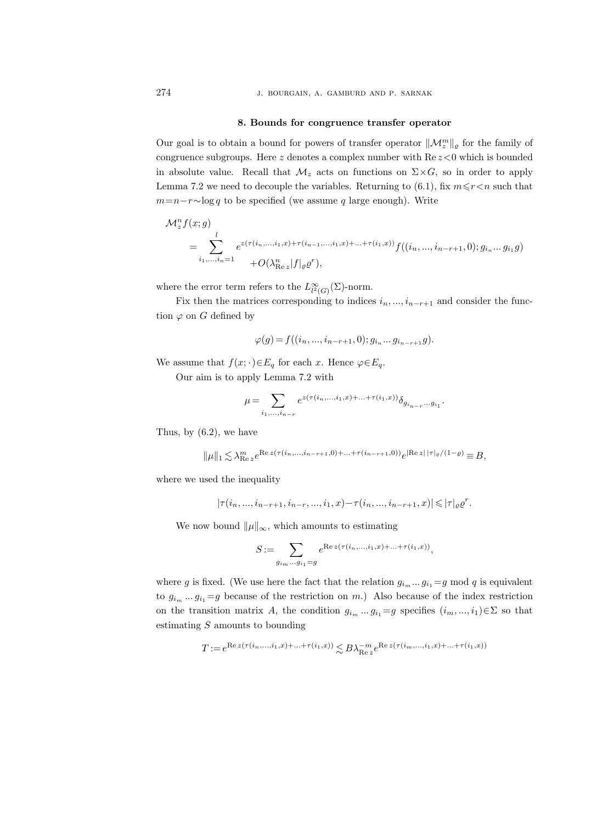#### 8. Bounds for congruence transfer operator

Our goal is to obtain a bound for powers of transfer operator  $\|\mathcal{M}_z^m\|_{\varrho}$  for the family of congruence subgroups. Here z denotes a complex number with  $\text{Re } z \leq 0$  which is bounded in absolute value. Recall that  $\mathcal{M}_z$  acts on functions on  $\Sigma \times G$ , so in order to apply Lemma 7.2 we need to decouple the variables. Returning to (6.1), fix  $m \leq r < n$  such that  $m=n-r\sim\log q$  to be specified (we assume q large enough). Write

$$
\mathcal{M}_z^n f(x; g)
$$
  
= 
$$
\sum_{i_1, ..., i_n=1}^l e^{z(\tau(i_n, ..., i_1, x) + \tau(i_{n-1}, ..., i_1, x) + ... + \tau(i_1, x))} f((i_n, ..., i_{n-r+1}, 0); g_{i_n}...g_{i_1}g)
$$
  
+ 
$$
O(\lambda_{\text{Re }z}^n |f|_{\varrho} g^r),
$$

where the error term refers to the  $L^{\infty}_{l^2(G)}(\Sigma)$ -norm.

Fix then the matrices corresponding to indices  $i_n, ..., i_{n-r+1}$  and consider the function  $\varphi$  on G defined by

$$
\varphi(g) = f((i_n, ..., i_{n-r+1}, 0); g_{i_n}...g_{i_{n-r+1}}g).
$$

We assume that  $f(x; \cdot) \in E_q$  for each x. Hence  $\varphi \in E_q$ .

Our aim is to apply Lemma 7.2 with

$$
\mu = \sum_{i_1, ..., i_{n-r}} e^{z(\tau(i_n, ..., i_1, x) + ... + \tau(i_1, x))} \delta_{g_{i_{n-r}}...g_{i_1}}.
$$

Thus, by (6.2), we have

$$
\|\mu\|_1 \lesssim \lambda_{\mathop{\mathrm{Re}} z}^m e^{ \mathop{\mathrm{Re}} z(\tau(i_n,...,i_{n-r+1},0)+...+\tau(i_{n-r+1},0))} e^{|\mathop{\mathrm{Re}} z| \, |\tau|_{\varrho}/(1-\varrho)} \equiv B,
$$

where we used the inequality

$$
|\tau(i_n,...,i_{n-r+1},i_{n-r},...,i_1,x)-\tau(i_n,...,i_{n-r+1},x)|\leqslant |\tau|_{\varrho}\varrho^r.
$$

We now bound  $\|\mu\|_{\infty}$ , which amounts to estimating

$$
S:=\sum_{g_{i_m}\ldots g_{i_1}=g}e^{\text{Re}\,z\left(\tau(i_n,\ldots,i_1,x)+\ldots+\tau(i_1,x)\right)},
$$

where g is fixed. (We use here the fact that the relation  $g_{i_m} \dots g_{i_1} = g \mod q$  is equivalent to  $g_{i_m} \dots g_{i_1} = g$  because of the restriction on m.) Also because of the index restriction on the transition matrix A, the condition  $g_{i_m} \dots g_{i_1} = g$  specifies  $(i_m, ..., i_1) \in \Sigma$  so that estimating  $S$  amounts to bounding

$$
T:=e^{\operatorname{Re} z(\tau(i_n,...,i_1,x)+...+\tau(i_1,x))}\lesssim B\lambda_{\operatorname{Re} z}^{-m}e^{\operatorname{Re} z(\tau(i_m,...,i_1,x)+...+\tau(i_1,x))}
$$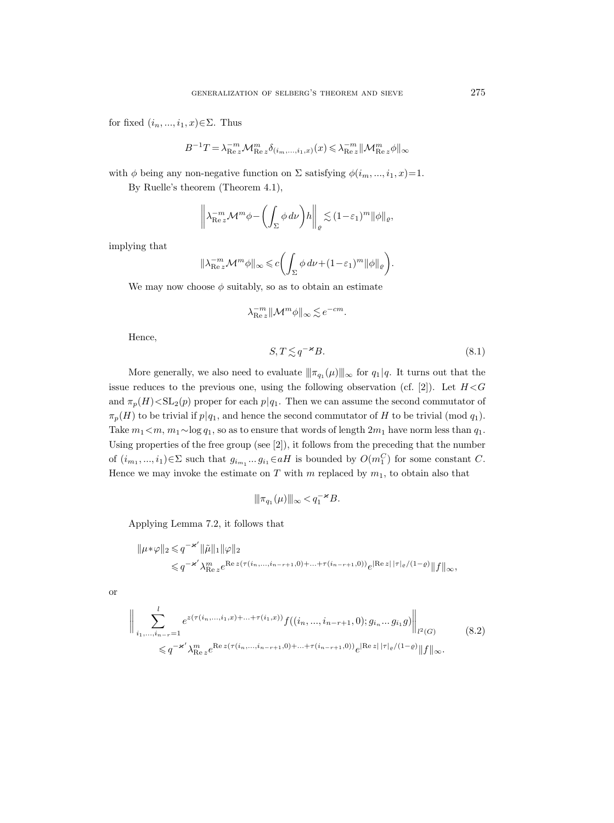for fixed  $(i_n, ..., i_1, x) \in \Sigma$ . Thus

$$
B^{-1}T = \lambda_{\text{Re }z}^{-m} \mathcal{M}_{\text{Re }z}^{m} \delta_{(i_m,...,i_1,x)}(x) \leqslant \lambda_{\text{Re }z}^{-m} \|\mathcal{M}_{\text{Re }z}^{m} \phi\|_{\infty}
$$

with  $\phi$  being any non-negative function on  $\Sigma$  satisfying  $\phi(i_m, ..., i_1, x) = 1$ .

By Ruelle's theorem (Theorem 4.1),

$$
\left\|\lambda_{\text{Re}\,z}^{-m} \mathcal{M}^m \phi - \left(\int_{\Sigma} \phi \, d\nu\right) h\right\|_{\varrho} \lesssim (1-\varepsilon_1)^m \|\phi\|_{\varrho},
$$

implying that

$$
\|\lambda_{\mathrm{Re}\,z}^{-m}\mathcal{M}^m\phi\|_{\infty}\leqslant c\biggl(\int_{\Sigma}\phi\,d\nu+(1-\varepsilon_1)^m\|\phi\|_{\varrho}\biggr).
$$

We may now choose  $\phi$  suitably, so as to obtain an estimate

$$
\lambda_{\text{Re }z}^{-m} \|\mathcal{M}^m \phi\|_{\infty} \lesssim e^{-cm}.
$$

Hence,

$$
S, T \lesssim q^{-\varkappa} B. \tag{8.1}
$$

More generally, we also need to evaluate  $\|\pi_{q_1}(\mu)\|_{\infty}$  for  $q_1|q$ . It turns out that the issue reduces to the previous one, using the following observation (cf. [2]). Let  $H < G$ and  $\pi_p(H) < SL_2(p)$  proper for each  $p|q_1$ . Then we can assume the second commutator of  $\pi_p(H)$  to be trivial if  $p|q_1$ , and hence the second commutator of H to be trivial (mod  $q_1$ ). Take  $m_1 < m$ ,  $m_1 \sim \log q_1$ , so as to ensure that words of length  $2m_1$  have norm less than  $q_1$ . Using properties of the free group (see [2]), it follows from the preceding that the number of  $(i_{m_1},...,i_1) \in \Sigma$  such that  $g_{i_{m_1}}...g_{i_1} \in aH$  is bounded by  $O(m_1^C)$  for some constant C. Hence we may invoke the estimate on  $T$  with  $m$  replaced by  $m_1$ , to obtain also that

$$
\|\pi_{q_1}(\mu)\|_\infty \! <\! q_1^{-\varkappa}B.
$$

Applying Lemma 7.2, it follows that

$$
\begin{aligned} \|\mu*\varphi\|_2 &\leqslant q^{-\varkappa'}\|\tilde{\mu}\|_1\|\varphi\|_2\\ &\leqslant q^{-\varkappa'}\lambda_{\mathop{\rm Re}\nolimits z}^m e^{\mathop{\rm Re}\nolimits z(\tau(i_n,...,i_{n-r+1},0)+...+\tau(i_{n-r+1},0))}e^{|\mathop{\rm Re}\nolimits z|\,|\tau|_\varrho/(1-\varrho)}\|f\|_\infty, \end{aligned}
$$

or

$$
\left\| \sum_{i_1, \dots, i_{n-r}=1}^l e^{z(\tau(i_n, \dots, i_1, x) + \dots + \tau(i_1, x))} f((i_n, \dots, i_{n-r+1}, 0); g_{i_n} \dots g_{i_1} g) \right\|_{l^2(G)} \tag{8.2}
$$
  

$$
\leq q^{-\varkappa'} \lambda_{\text{Re } \varepsilon}^m e^{\text{Re } z(\tau(i_n, \dots, i_{n-r+1}, 0) + \dots + \tau(i_{n-r+1}, 0))} e^{|\text{Re } z| |\tau|} e^{/(1-\varrho)} \|f\|_{\infty}.
$$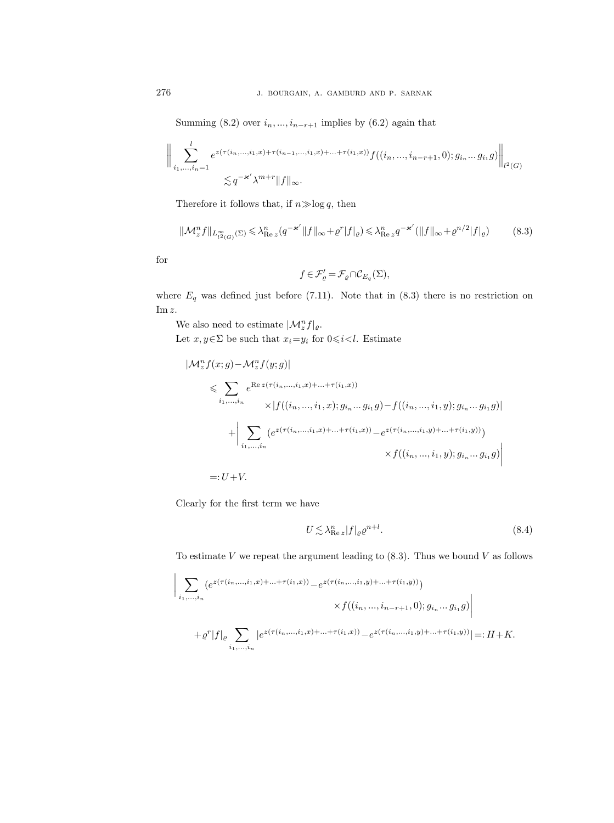Summing (8.2) over  $i_n, ..., i_{n-r+1}$  implies by (6.2) again that

$$
\Big\|\sum_{i_1,\dots,i_n=1}^l e^{z(\tau(i_n,\dots,i_1,x)+\tau(i_{n-1},\dots,i_1,x)+\dots+\tau(i_1,x))}f((i_n,\dots,i_{n-r+1},0);g_{i_n}\dots g_{i_1}g)\Big\|_{l^2(G)} \leq q^{-\varkappa'}\lambda^{m+r} \|f\|_{\infty}.
$$

Therefore it follows that, if  $n \gg \log q$ , then

$$
\|\mathcal{M}_z^n f\|_{L_{l^2(G)}^\infty(\Sigma)} \le \lambda_{\text{Re } z}^n (q^{-\varkappa'} \|f\|_{\infty} + \varrho^r |f|_{\varrho}) \le \lambda_{\text{Re } z}^n q^{-\varkappa'} (\|f\|_{\infty} + \varrho^{n/2} |f|_{\varrho}) \tag{8.3}
$$

for

$$
f\in\mathcal{F}'_{\varrho}=\mathcal{F}_{\varrho}\cap\mathcal{C}_{E_q}(\Sigma),
$$

where  $E_q$  was defined just before (7.11). Note that in (8.3) there is no restriction on Im z.

We also need to estimate  $|\mathcal{M}_z^n f|_{\varrho}$ .

Let  $x, y \in \Sigma$  be such that  $x_i=y_i$  for  $0 \le i < l$ . Estimate

$$
|\mathcal{M}_z^n f(x; g) - \mathcal{M}_z^n f(y; g)|
$$
  
\n
$$
\leq \sum_{i_1, ..., i_n} e^{\text{Re } z(\tau(i_n, ..., i_1, x) + ... + \tau(i_1, x))}
$$
  
\n
$$
\times |f((i_n, ..., i_1, x); g_{i_n} ... g_{i_1}g) - f((i_n, ..., i_1, y); g_{i_n} ... g_{i_1}g)|
$$
  
\n
$$
+ \left| \sum_{i_1, ..., i_n} (e^{z(\tau(i_n, ..., i_1, x) + ... + \tau(i_1, x))} - e^{z(\tau(i_n, ..., i_1, y) + ... + \tau(i_1, y))})
$$
  
\n
$$
\times f((i_n, ..., i_1, y); g_{i_n} ... g_{i_1}g)) \right|
$$
  
\n=: U + V.

Clearly for the first term we have

$$
U \lesssim \lambda_{\text{Re }z}^n |f|_{\varrho} \varrho^{n+l}.\tag{8.4}
$$

To estimate V we repeat the argument leading to  $(8.3)$ . Thus we bound V as follows

$$
\Big| \sum_{i_1,\dots,i_n} \left( e^{z(\tau(i_n,\dots,i_1,x)+\dots+\tau(i_1,x))} - e^{z(\tau(i_n,\dots,i_1,y)+\dots+\tau(i_1,y))} \right) \times f((i_n,\dots,i_{n-r+1},0);g_{i_n}\dots g_{i_1}g) \Big|
$$
  
+  $\varrho^r |f|_{\varrho} \sum_{i_1,\dots,i_n} \left| e^{z(\tau(i_n,\dots,i_1,x)+\dots+\tau(i_1,x))} - e^{z(\tau(i_n,\dots,i_1,y)+\dots+\tau(i_1,y))} \right| =: H + K.$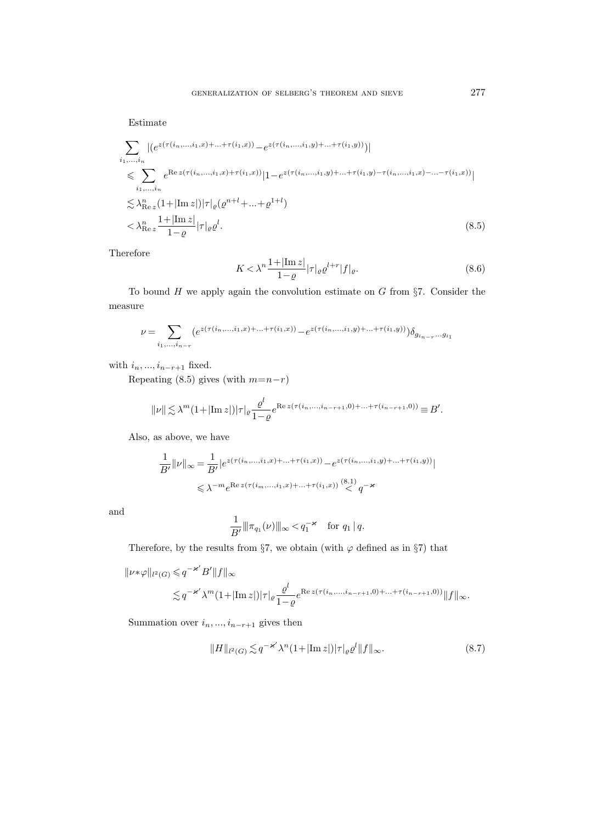Estimate

$$
\sum_{i_1,\dots,i_n} |(e^{z(\tau(i_n,\dots,i_1,x)+\dots+\tau(i_1,x))} - e^{z(\tau(i_n,\dots,i_1,y)+\dots+\tau(i_1,y))})|
$$
\n
$$
\leq \sum_{i_1,\dots,i_n} e^{\text{Re }z(\tau(i_n,\dots,i_1,x)+\tau(i_1,x))} |1 - e^{z(\tau(i_n,\dots,i_1,y)+\dots+\tau(i_1,y)-\tau(i_n,\dots,i_1,x)-\dots-\tau(i_1,x))}|
$$
\n
$$
\lesssim \lambda_{\text{Re }z}^n (1+|\text{Im }z|) |\tau|_{\varrho} (\varrho^{n+l}+\dots+\varrho^{1+l})
$$
\n
$$
< \lambda_{\text{Re }z}^n \frac{1+|\text{Im }z|}{1-\varrho} |\tau|_{\varrho} \varrho^{l}. \tag{8.5}
$$

Therefore

$$
K < \lambda^{n} \frac{1 + |\text{Im } z|}{1 - \varrho} |\tau|_{\varrho} \varrho^{l+r} |f|_{\varrho}.
$$
 (8.6)

To bound  $H$  we apply again the convolution estimate on  $G$  from §7. Consider the measure

$$
\nu = \sum_{i_1, ..., i_{n-r}} \left( e^{z(\tau(i_n, ..., i_1, x) + ... + \tau(i_1, x))} - e^{z(\tau(i_n, ..., i_1, y) + ... + \tau(i_1, y))} \right) \delta_{g_{i_{n-r}} \dots g_{i_1}}
$$

with  $i_n, ..., i_{n-r+1}$  fixed.

Repeating (8.5) gives (with  $m=n-r$ )

$$
||\nu|| \lesssim \lambda^{m} (1+|\text{Im } z|)|\tau|_{\varrho} \frac{\varrho^{l}}{1-\varrho} e^{\text{Re } z(\tau(i_{n},...,i_{n-r+1},0)+...+\tau(i_{n-r+1},0))} \equiv B'.
$$

Also, as above, we have

$$
\frac{1}{B'}\|\nu\|_{\infty} = \frac{1}{B'}|e^{z(\tau(i_n,\ldots,i_1,x)+\ldots+\tau(i_1,x))} - e^{z(\tau(i_n,\ldots,i_1,y)+\ldots+\tau(i_1,y))}|
$$
  

$$
\leq \lambda^{-m}e^{\text{Re }z(\tau(i_m,\ldots,i_1,x)+\ldots+\tau(i_1,x))} \overset{(8.1)}{<} q^{-\varkappa}
$$

and

$$
\frac{1}{B'} \|\pi_{q_1}(\nu)\|_{\infty} < q_1^{-\varkappa} \quad \text{for } q_1 | q.
$$

Therefore, by the results from §7, we obtain (with  $\varphi$  defined as in §7) that

$$
||\nu*\varphi||_{l^2(G)} \leqslant q^{-\varkappa'}B'||f||_{\infty}
$$
  

$$
\lesssim q^{-\varkappa'}\lambda^m(1+|\text{Im}\,z|)|\tau|_{\varrho}\frac{\varrho^l}{1-\varrho}e^{\text{Re}\,z(\tau(i_n,\ldots,i_{n-r+1},0)+\ldots+\tau(i_{n-r+1},0))}||f||_{\infty}.
$$

Summation over  $i_n, ..., i_{n-r+1}$  gives then

$$
||H||_{l^2(G)} \lesssim q^{-\varkappa'} \lambda^n (1+|\text{Im}\, z|)|\tau|_\varrho \varrho^l ||f||_\infty. \tag{8.7}
$$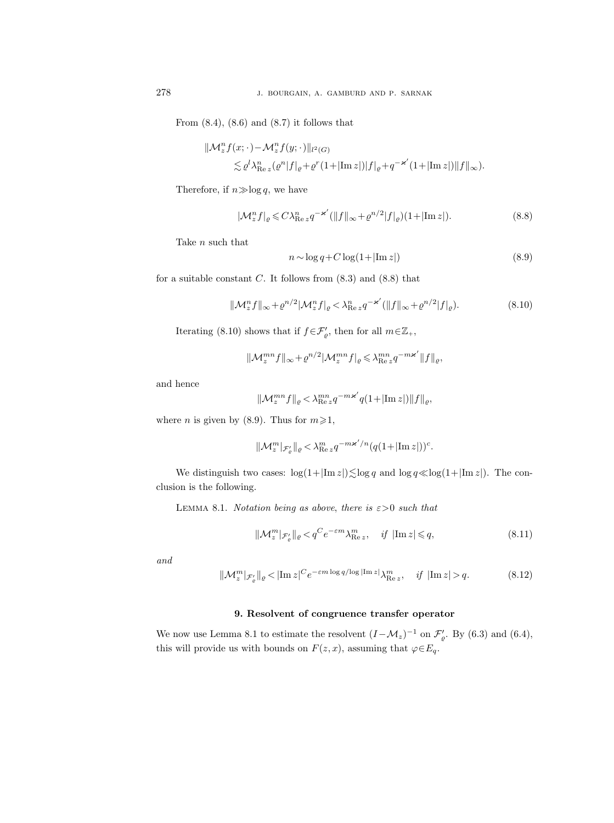From  $(8.4)$ ,  $(8.6)$  and  $(8.7)$  it follows that

$$
\begin{aligned} \|\mathcal{M}_z^n f(x;\cdot) - \mathcal{M}_z^n f(y;\cdot)\|_{l^2(G)} \\ &\lesssim \varrho^l \lambda_{\operatorname{Re} z}^n (\varrho^n |f|_\varrho + \varrho^r (1+|\operatorname{Im} z|) |f|_\varrho + q^{-\varkappa'} (1+|\operatorname{Im} z|) \|f\|_\infty). \end{aligned}
$$

Therefore, if  $n \gg \log q$ , we have

$$
|\mathcal{M}_z^n f|_{\varrho} \leqslant C\lambda_{\text{Re}\,z}^n q^{-\varkappa'}(||f||_{\infty} + \varrho^{n/2}|f|_{\varrho})(1 + |\text{Im}\,z|). \tag{8.8}
$$

Take  $\boldsymbol{n}$  such that

$$
n \sim \log q + C \log(1 + |\text{Im } z|)
$$
\n(8.9)

for a suitable constant  $C$ . It follows from  $(8.3)$  and  $(8.8)$  that

$$
\|\mathcal{M}_z^n f\|_{\infty} + \varrho^{n/2} |\mathcal{M}_z^n f|_{\varrho} < \lambda_{\text{Re } z}^n q^{-\varkappa'} (\|f\|_{\infty} + \varrho^{n/2} |f|_{\varrho}).\tag{8.10}
$$

Iterating (8.10) shows that if  $f \in \mathcal{F}'_{\varrho}$ , then for all  $m \in \mathbb{Z}_+$ ,

$$
\|\mathcal{M}_z^{mn}f\|_{\infty}+\varrho^{n/2}|\mathcal{M}_z^{mn}f|_{\varrho}\leqslant\lambda^{mn}_{\mathrm{Re}\,z}q^{-m\varkappa'}\|f\|_{\varrho},
$$

and hence

$$
\|\mathcal{M}_z^{mn}f\|_{\varrho}< \lambda_{\mathop{\rm Re}\nolimits z}^{mn}q^{-m\varkappa'}q(1+|\mathop{\rm Im}\nolimits z|)\|f\|_{\varrho},
$$

where *n* is given by (8.9). Thus for  $m \ge 1$ ,

$$
\|\mathcal{M}_z^m|_{\mathcal{F}_\varrho'}\|_{\varrho} < \lambda_{\text{Re }z}^m q^{-m\varkappa'/n} (q(1+|\text{Im }z|))^c.
$$

We distinguish two cases:  $\log(1+|\text{Im } z|) \lesssim \log q$  and  $\log q \ll \log(1+|\text{Im } z|)$ . The conclusion is the following.

LEMMA 8.1. Notation being as above, there is  $\varepsilon > 0$  such that

$$
\|\mathcal{M}_z^m|_{\mathcal{F}_\varrho'}\|_{\varrho} < q^C e^{-\varepsilon m} \lambda_{\text{Re } z}^m, \quad \text{if } |\text{Im } z| \leqslant q,\tag{8.11}
$$

and

$$
\|\mathcal{M}_z^m|_{\mathcal{F}_\varrho'}\|_{\varrho} < |\text{Im}\,z|^C e^{-\varepsilon m \log q/\log|\text{Im}\,z|} \lambda_{\text{Re}\,z}^m, \quad \text{if } |\text{Im}\,z| > q. \tag{8.12}
$$

#### 9. Resolvent of congruence transfer operator

We now use Lemma 8.1 to estimate the resolvent  $(I - M_z)^{-1}$  on  $\mathcal{F}'_{\varrho}$ . By (6.3) and (6.4), this will provide us with bounds on  $F(z, x)$ , assuming that  $\varphi \in E_q$ .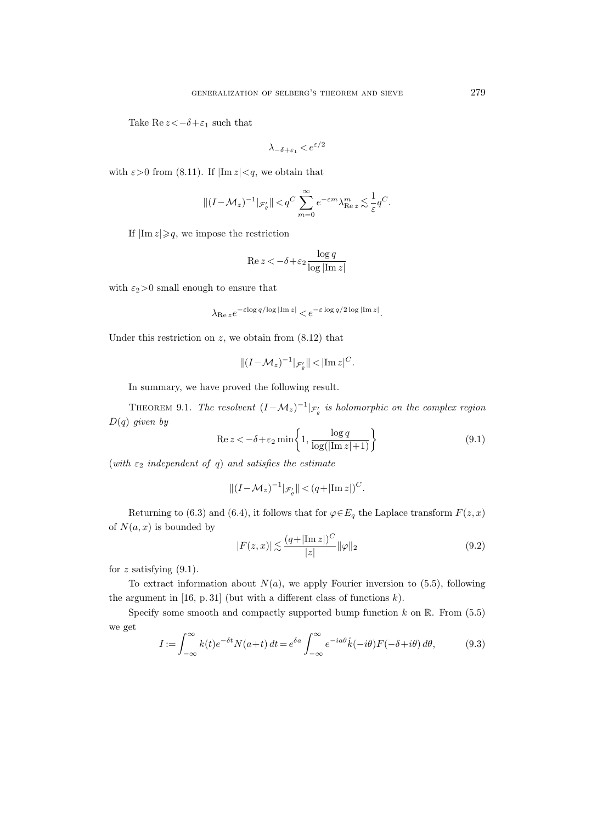Take Re  $z \lt -\delta + \varepsilon_1$  such that

$$
\lambda_{-\delta+\varepsilon_1} < e^{\varepsilon/2}
$$

with  $\varepsilon > 0$  from (8.11). If  $|\text{Im } z| < q$ , we obtain that

$$
\|(I- \mathcal M_z)^{-1}|_{\mathcal{F}_{\varrho}'}\| < q^C \sum_{m=0}^\infty e^{-\varepsilon m}\lambda_{\mathop{\rm Re}\nolimits z}^m \lesssim \frac{1}{\varepsilon} q^C.
$$

If  $|\text{Im } z| \geqslant q$ , we impose the restriction

$$
\operatorname{Re} z < -\delta + \varepsilon_2 \frac{\log q}{\log |\operatorname{Im} z|}
$$

with  $\varepsilon_2\!>\!0$  small enough to ensure that

$$
\lambda_{\text{Re }z}e^{-\varepsilon\log q/\log|\text{Im }z|} < e^{-\varepsilon\log q/2\log|\text{Im }z|}.
$$

Under this restriction on  $z$ , we obtain from  $(8.12)$  that

$$
\|(I-\mathcal{M}_z)^{-1}|_{\mathcal{F}'_{\varrho}}\| < |\text{Im}\,z|^C.
$$

In summary, we have proved the following result.

THEOREM 9.1. The resolvent  $(I - M_z)^{-1} |_{\mathcal{F}'_g}$  is holomorphic on the complex region  $D(q)$  given by

$$
\operatorname{Re} z < -\delta + \varepsilon_2 \min \left\{ 1, \frac{\log q}{\log(|\operatorname{Im} z| + 1)} \right\} \tag{9.1}
$$

(with  $\varepsilon_2$  independent of q) and satisfies the estimate

$$
\|(I-\mathcal M_z)^{-1}|_{\mathcal F'_\varrho}\|<(q+|\mathrm{Im}\,z|)^C.
$$

Returning to (6.3) and (6.4), it follows that for  $\varphi \in E_q$  the Laplace transform  $F(z, x)$ of  $N(a, x)$  is bounded by

$$
|F(z,x)| \lesssim \frac{(q+|\text{Im }z|)^C}{|z|} \|\varphi\|_2 \tag{9.2}
$$

for  $z$  satisfying  $(9.1)$ .

To extract information about  $N(a)$ , we apply Fourier inversion to (5.5), following the argument in  $[16, p. 31]$  (but with a different class of functions  $k$ ).

Specify some smooth and compactly supported bump function  $k$  on  $\mathbb{R}$ . From (5.5) we get

$$
I := \int_{-\infty}^{\infty} k(t)e^{-\delta t}N(a+t) dt = e^{\delta a} \int_{-\infty}^{\infty} e^{-ia\theta} \hat{k}(-i\theta)F(-\delta+i\theta) d\theta,
$$
 (9.3)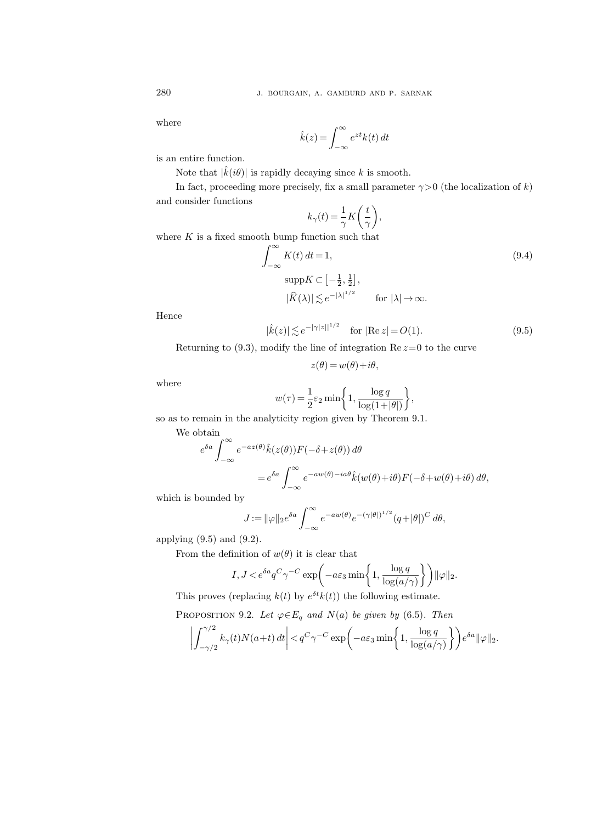where

$$
\hat{k}(z) = \int_{-\infty}^{\infty} e^{zt} k(t) dt
$$

is an entire function.

Note that  $|\hat{k}(i\theta)|$  is rapidly decaying since k is smooth.

In fact, proceeding more precisely, fix a small parameter  $\gamma > 0$  (the localization of k) and consider functions

$$
k_{\gamma}(t) = \frac{1}{\gamma} K\bigg(\frac{t}{\gamma}\bigg),
$$

where  $K$  is a fixed smooth bump function such that

$$
\int_{-\infty}^{\infty} K(t) dt = 1,
$$
\n
$$
\text{supp} K \subset \left[ -\frac{1}{2}, \frac{1}{2} \right],
$$
\n
$$
|\widehat{K}(\lambda)| \lesssim e^{-|\lambda|^{1/2}} \qquad \text{for } |\lambda| \to \infty.
$$
\n(9.4)

Hence

$$
|\hat{k}(z)| \lesssim e^{-|\gamma|z||^{1/2}} \quad \text{for } |\text{Re } z| = O(1). \tag{9.5}
$$

Returning to  $(9.3)$ , modify the line of integration Re  $z=0$  to the curve

$$
z(\theta) = w(\theta) + i\theta,
$$

where

$$
w(\tau) = \frac{1}{2}\varepsilon_2 \min\biggl\{1, \frac{\log q}{\log(1+|\theta|)}\biggr\},\,
$$

so as to remain in the analyticity region given by Theorem 9.1.

We obtain  
\n
$$
e^{\delta a} \int_{-\infty}^{\infty} e^{-az(\theta)} \hat{k}(z(\theta)) F(-\delta + z(\theta)) d\theta
$$
\n
$$
= e^{\delta a} \int_{-\infty}^{\infty} e^{-aw(\theta) - ia\theta} \hat{k}(w(\theta) + i\theta) F(-\delta + w(\theta) + i\theta) d\theta,
$$

which is bounded by

$$
J := \|\varphi\|_2 e^{\delta a} \int_{-\infty}^{\infty} e^{-aw(\theta)} e^{-(\gamma|\theta|)^{1/2}} (q + |\theta|)^C d\theta,
$$

applying  $(9.5)$  and  $(9.2)$ .

From the definition of  $w(\theta)$  it is clear that

$$
I, J < e^{\delta a} q^C \gamma^{-C} \exp\left(-a\varepsilon_3 \min\left\{1, \frac{\log q}{\log(a/\gamma)}\right\}\right) ||\varphi||_2.
$$

This proves (replacing  $k(t)$  by  $e^{\delta t}k(t)$ ) the following estimate.

PROPOSITION 9.2. Let  $\varphi \in E_q$  and  $N(a)$  be given by (6.5). Then

$$
\left| \int_{-\gamma/2}^{\gamma/2} k_{\gamma}(t) N(a+t) dt \right| < q^C \gamma^{-C} \exp\left( -a \varepsilon_3 \min\left\{ 1, \frac{\log q}{\log(a/\gamma)} \right\} \right) e^{\delta a} ||\varphi||_2.
$$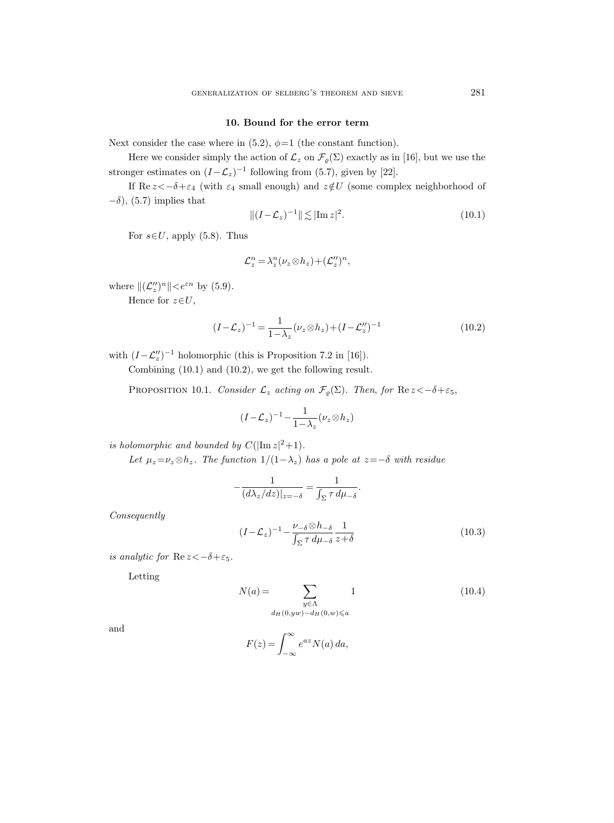#### 10. Bound for the error term

Next consider the case where in  $(5.2)$ ,  $\phi=1$  (the constant function).

Here we consider simply the action of  $\mathcal{L}_z$  on  $\mathcal{F}_{\varrho}(\Sigma)$  exactly as in [16], but we use the stronger estimates on  $(I-\mathcal{L}_z)^{-1}$  following from (5.7), given by [22].

If  $\text{Re } z < -\delta + \varepsilon_4$  (with  $\varepsilon_4$  small enough) and  $z \notin U$  (some complex neighborhood of  $-\delta$ ), (5.7) implies that

$$
||(I - \mathcal{L}_z)^{-1}|| \lesssim |\text{Im } z|^2. \tag{10.1}
$$

For  $s \in U$ , apply (5.8). Thus

$$
\mathcal{L}_z^n = \lambda_z^n (\nu_z \otimes h_z) + (\mathcal{L}_z'')^n,
$$

where  $\|(\mathcal{L}_z^{\prime\prime})^n\| < e^{\varepsilon n}$  by (5.9).

Hence for  $z \in U$ ,

$$
(I - \mathcal{L}_z)^{-1} = \frac{1}{1 - \lambda_z} (\nu_z \otimes h_z) + (I - \mathcal{L}_z'')^{-1}
$$
(10.2)

with  $(I - \mathcal{L}''_z)^{-1}$  holomorphic (this is Proposition 7.2 in [16]).

Combining (10.1) and (10.2), we get the following result.

PROPOSITION 10.1. Consider  $\mathcal{L}_z$  acting on  $\mathcal{F}_{\varrho}(\Sigma)$ . Then, for  $\text{Re } z < -\delta + \varepsilon_5$ ,

$$
(I - \mathcal{L}_z)^{-1} - \frac{1}{1 - \lambda_z} (\nu_z \otimes h_z)
$$

is holomorphic and bounded by  $C(|\text{Im } z|^2+1)$ .

Let  $\mu_z = \nu_z \otimes h_z$ . The function  $1/(1-\lambda_z)$  has a pole at  $z=-\delta$  with residue

$$
-\frac{1}{(d\lambda_z/dz)|_{z=-\delta}} = \frac{1}{\int_{\Sigma} \tau \, d\mu_{-\delta}}.
$$

Consequently

$$
(I - \mathcal{L}_z)^{-1} - \frac{\nu_{-\delta} \otimes h_{-\delta}}{\int_{\Sigma} \tau \, d\mu_{-\delta}} \frac{1}{z + \delta} \tag{10.3}
$$

is analytic for  $\text{Re } z < -\delta + \varepsilon_5$ .

Letting

$$
N(a) = \sum_{\substack{y \in \Lambda \\ d_H(0, yw) - d_H(0, w) \le a}} 1
$$
\n(10.4)

and

$$
F(z) = \int_{-\infty}^{\infty} e^{az} N(a) da,
$$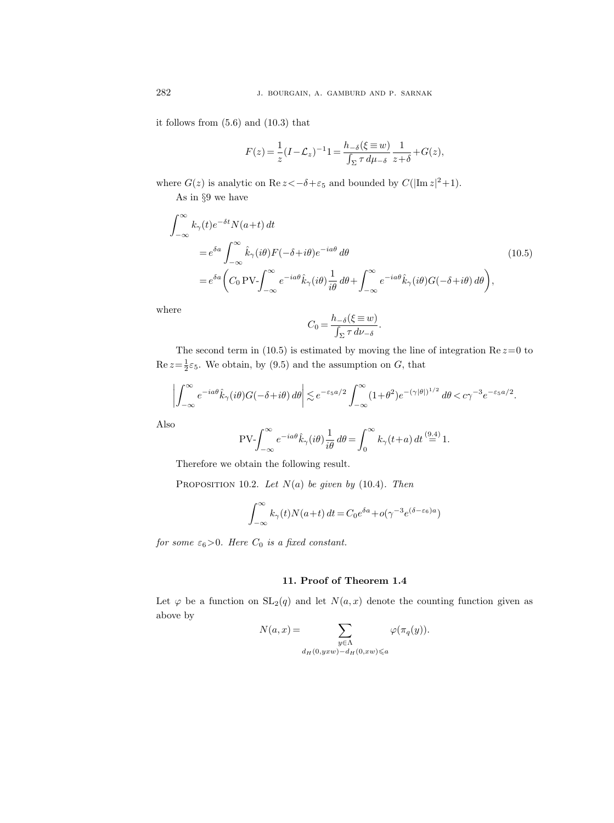it follows from (5.6) and (10.3) that

$$
F(z) = \frac{1}{z}(I - \mathcal{L}_z)^{-1}1 = \frac{h_{-\delta}(\xi \equiv w)}{\int_{\Sigma} \tau \, d\mu_{-\delta}} \frac{1}{z + \delta} + G(z),
$$

where  $G(z)$  is analytic on  $\text{Re } z \le -\delta + \varepsilon_5$  and bounded by  $C(|\text{Im } z|^2 + 1)$ .

As in §9 we have

$$
\int_{-\infty}^{\infty} k_{\gamma}(t) e^{-\delta t} N(a+t) dt
$$
\n
$$
= e^{\delta a} \int_{-\infty}^{\infty} \hat{k}_{\gamma}(i\theta) F(-\delta + i\theta) e^{-ia\theta} d\theta
$$
\n
$$
= e^{\delta a} \left( C_0 \text{PV-} \int_{-\infty}^{\infty} e^{-ia\theta} \hat{k}_{\gamma}(i\theta) \frac{1}{i\theta} d\theta + \int_{-\infty}^{\infty} e^{-ia\theta} \hat{k}_{\gamma}(i\theta) G(-\delta + i\theta) d\theta \right),
$$
\n(10.5)

where

$$
C_0 = \frac{h_{-\delta}(\xi \equiv w)}{\int_{\Sigma} \tau \, d\nu_{-\delta}}.
$$

The second term in (10.5) is estimated by moving the line of integration  $\text{Re } z = 0$  to  $\text{Re } z = \frac{1}{2} \varepsilon_5$ . We obtain, by (9.5) and the assumption on G, that

$$
\left| \int_{-\infty}^{\infty} e^{-ia\theta} \hat{k}_{\gamma}(i\theta) G(-\delta + i\theta) d\theta \right| \lesssim e^{-\varepsilon_5 a/2} \int_{-\infty}^{\infty} (1+\theta^2) e^{-(\gamma|\theta|)^{1/2}} d\theta < c\gamma^{-3} e^{-\varepsilon_5 a/2}.
$$

Also

$$
\text{PV-}\!\int_{-\infty}^{\infty} e^{-ia\theta} \hat{k}_{\gamma}(i\theta) \frac{1}{i\theta} \, d\theta = \int_{0}^{\infty} k_{\gamma}(t+a) \, dt \stackrel{(9.4)}{=} 1.
$$

Therefore we obtain the following result.

PROPOSITION 10.2. Let  $N(a)$  be given by (10.4). Then

$$
\int_{-\infty}^{\infty} k_{\gamma}(t) N(a+t) dt = C_0 e^{\delta a} + o(\gamma^{-3} e^{(\delta - \varepsilon_6)a})
$$

for some  $\varepsilon_6>0$ . Here  $C_0$  is a fixed constant.

### 11. Proof of Theorem 1.4

Let  $\varphi$  be a function on  $SL_2(q)$  and let  $N(a, x)$  denote the counting function given as above by

$$
N(a,x) = \sum_{\substack{y \in \Lambda \\ d_H(0,yxw) - d_H(0,xw) \le a}} \varphi(\pi_q(y)).
$$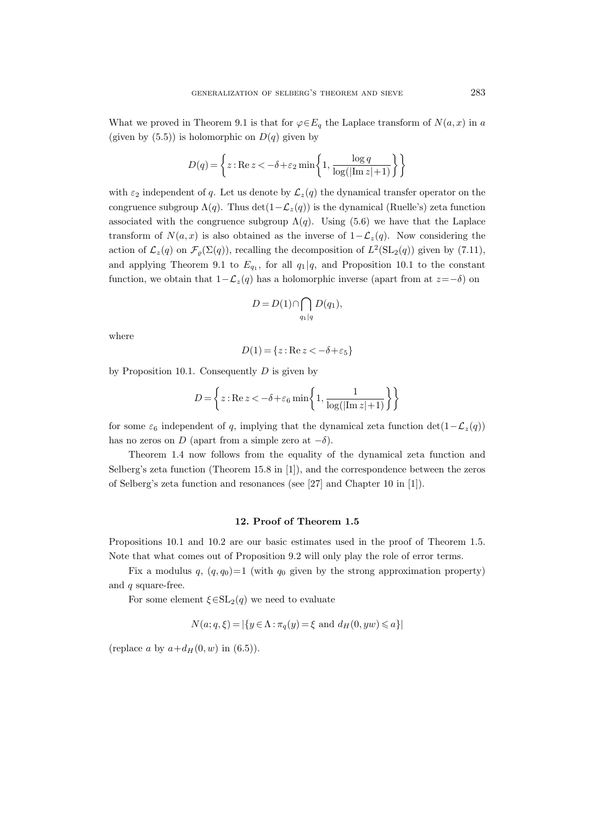What we proved in Theorem 9.1 is that for  $\varphi \in E_q$  the Laplace transform of  $N(a, x)$  in a (given by  $(5.5)$ ) is holomorphic on  $D(q)$  given by

$$
D(q) = \left\{ z : \text{Re } z < -\delta + \varepsilon_2 \min \left\{ 1, \frac{\log q}{\log(\left|\text{Im } z\right| + 1)} \right\} \right\}
$$

with  $\varepsilon_2$  independent of q. Let us denote by  $\mathcal{L}_z(q)$  the dynamical transfer operator on the congruence subgroup  $\Lambda(q)$ . Thus det $(1-\mathcal{L}_z(q))$  is the dynamical (Ruelle's) zeta function associated with the congruence subgroup  $\Lambda(q)$ . Using (5.6) we have that the Laplace transform of  $N(a, x)$  is also obtained as the inverse of  $1-\mathcal{L}_z(q)$ . Now considering the action of  $\mathcal{L}_z(q)$  on  $\mathcal{F}_{\varrho}(\Sigma(q))$ , recalling the decomposition of  $L^2(\mathrm{SL}_2(q))$  given by  $(7.11)$ , and applying Theorem 9.1 to  $E_{q_1}$ , for all  $q_1 | q$ , and Proposition 10.1 to the constant function, we obtain that  $1-\mathcal{L}_z(q)$  has a holomorphic inverse (apart from at  $z=-\delta$ ) on

$$
D = D(1) \cap \bigcap_{q_1|q} D(q_1),
$$

where

$$
D(1) = \{ z : \text{Re } z < -\delta + \varepsilon_5 \}
$$

by Proposition 10.1. Consequently  $D$  is given by

$$
D\!=\!\left\{z:\! \text{Re}\, z\!<\!-\delta\!+\!\varepsilon_6\min\!\left\{1,\frac{1}{\log(|\text{Im}\, z| \!+\!1)}\right\}\right\}
$$

for some  $\varepsilon_6$  independent of q, implying that the dynamical zeta function det(1− $\mathcal{L}_z(q)$ ) has no zeros on D (apart from a simple zero at  $-\delta$ ).

Theorem 1.4 now follows from the equality of the dynamical zeta function and Selberg's zeta function (Theorem 15.8 in [1]), and the correspondence between the zeros of Selberg's zeta function and resonances (see [27] and Chapter 10 in [1]).

#### 12. Proof of Theorem 1.5

Propositions 10.1 and 10.2 are our basic estimates used in the proof of Theorem 1.5. Note that what comes out of Proposition 9.2 will only play the role of error terms.

Fix a modulus q,  $(q, q_0)=1$  (with  $q_0$  given by the strong approximation property) and  $q$  square-free.

For some element  $\xi \in SL_2(q)$  we need to evaluate

$$
N(a; q, \xi) = |\{ y \in \Lambda : \pi_q(y) = \xi \text{ and } d_H(0, yw) \leq a \}|
$$

(replace a by  $a+d_H(0, w)$  in  $(6.5)$ ).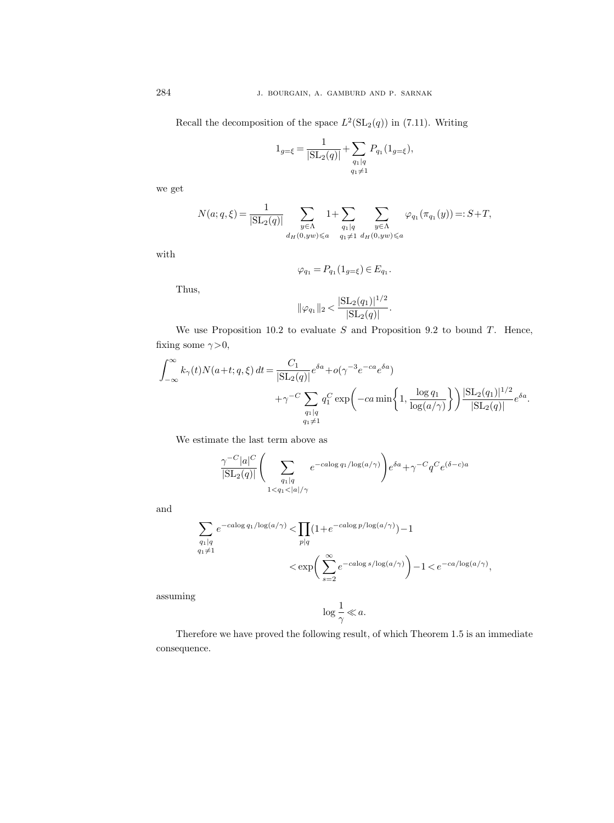Recall the decomposition of the space  $L^2(\mathrm{SL}_2(q))$  in (7.11). Writing

$$
1_{g=\xi} = \frac{1}{|\mathrm{SL}_2(q)|} + \sum_{\substack{q_1|q\\q_1 \neq 1}} P_{q_1}(1_{g=\xi}),
$$

we get

$$
N(a;q,\xi) = \frac{1}{|\mathrm{SL}_2(q)|} \sum_{\substack{y \in \Lambda \\ d_H(0,yw) \leq a}} 1 + \sum_{\substack{q_1 | q \\ q_1 \neq 1}} \sum_{\substack{y \in \Lambda \\ d_H(0,yw) \leq a}} \varphi_{q_1}(\pi_{q_1}(y)) =: S + T,
$$

with

$$
\varphi_{q_1} = P_{q_1}(1_{g=\xi}) \in E_{q_1}.
$$

Thus,

$$
\|\varphi_{q_1}\|_2 < \frac{|\mathrm{SL}_2(q_1)|^{1/2}}{|\mathrm{SL}_2(q)|}.
$$

We use Proposition 10.2 to evaluate  $S$  and Proposition 9.2 to bound  $T$ . Hence, fixing some  $\gamma > 0$ ,

$$
\begin{split} \int_{-\infty}^{\infty} k_{\gamma}(t) N(a+t;q,\xi) \, dt & = \frac{C_1}{|\mathrm{SL}_2(q)|} e^{\delta a} + o(\gamma^{-3} e^{-ca} e^{\delta a}) \\ & \qquad \qquad + \gamma^{-C} \sum_{\substack{q_1|q \\ q_1 \neq 1}} q_1^C \exp\left(-ca \min\left\{1,\frac{\log q_1}{\log(a/\gamma)}\right\}\right) \frac{|\mathrm{SL}_2(q_1)|^{1/2}}{|\mathrm{SL}_2(q)|} e^{\delta a}. \end{split}
$$

We estimate the last term above as

$$
\frac{\gamma^{-C}|a|^C}{|\mathrm{SL}_2(q)|} \left( \sum_{\substack{q_1|q\\1
$$

and

$$
\begin{split} \sum_{\substack{q_1|q\\ q_1\neq 1}}e^{-c a\log q_1/\log(a/\gamma)} < & \prod_{p|q}(1+e^{-c a\log p/\log(a/\gamma)})-1\\ < & \exp\bigg(\sum_{s=2}^{\infty}e^{-c a\log s/\log(a/\gamma)}\bigg)-1
$$

assuming

$$
\log\frac{1}{\gamma}\ll a.
$$

Therefore we have proved the following result, of which Theorem 1.5 is an immediate consequence.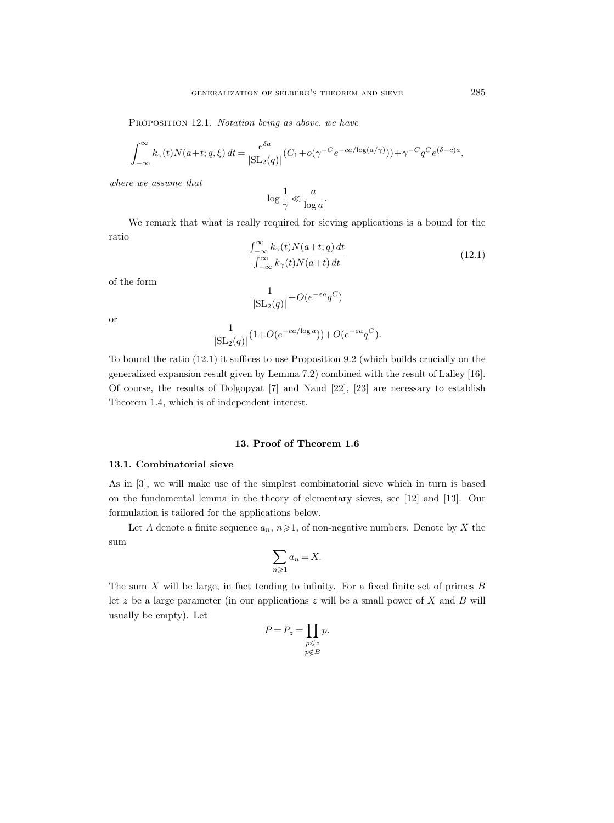PROPOSITION 12.1. Notation being as above, we have

$$
\int_{-\infty}^{\infty} k_{\gamma}(t) N(a+t; q, \xi) dt = \frac{e^{\delta a}}{|\mathrm{SL}_2(q)|} (C_1 + o(\gamma^{-C} e^{-ca/\log(a/\gamma)})) + \gamma^{-C} q^C e^{(\delta - c)a},
$$

where we assume that

$$
\log\frac{1}{\gamma}\ll \frac{a}{\log a}.
$$

We remark that what is really required for sieving applications is a bound for the ratio

$$
\frac{\int_{-\infty}^{\infty} k_{\gamma}(t)N(a+t;q) dt}{\int_{-\infty}^{\infty} k_{\gamma}(t)N(a+t) dt}
$$
\n(12.1)

of the form

$$
\frac{1}{|\mathrm{SL}_2(q)|} + O(e^{-\varepsilon a} q^C)
$$

or

$$
\frac{1}{|\mathrm{SL}_2(q)|} (1+O(e^{-ca/\log a})) + O(e^{-\varepsilon a} q^C).
$$

To bound the ratio (12.1) it suffices to use Proposition 9.2 (which builds crucially on the generalized expansion result given by Lemma 7.2) combined with the result of Lalley [16]. Of course, the results of Dolgopyat [7] and Naud [22], [23] are necessary to establish Theorem 1.4, which is of independent interest.

### 13. Proof of Theorem 1.6

#### 13.1. Combinatorial sieve

As in [3], we will make use of the simplest combinatorial sieve which in turn is based on the fundamental lemma in the theory of elementary sieves, see [12] and [13]. Our formulation is tailored for the applications below.

Let A denote a finite sequence  $a_n$ ,  $n \geq 1$ , of non-negative numbers. Denote by X the sum

$$
\sum_{n\geqslant 1}a_n=X.
$$

The sum  $X$  will be large, in fact tending to infinity. For a fixed finite set of primes  $B$ let z be a large parameter (in our applications z will be a small power of X and B will usually be empty). Let

$$
P = P_z = \prod_{\substack{p \leq z \\ p \notin B}} p.
$$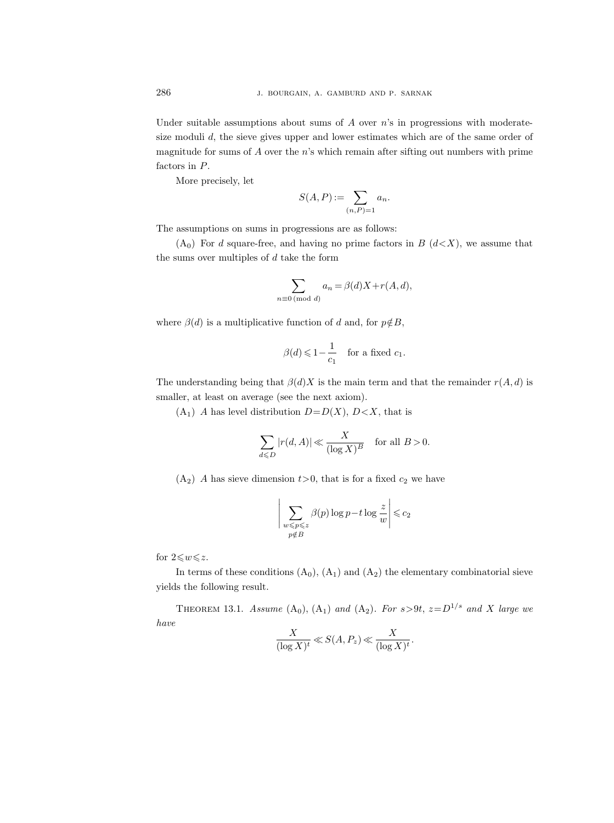Under suitable assumptions about sums of  $A$  over  $n$ 's in progressions with moderatesize moduli d, the sieve gives upper and lower estimates which are of the same order of magnitude for sums of  $A$  over the  $n$ 's which remain after sifting out numbers with prime factors in  $\cal P.$ 

More precisely, let

$$
S(A, P) := \sum_{(n,P)=1} a_n.
$$

The assumptions on sums in progressions are as follows:

 $(A_0)$  For d square-free, and having no prime factors in B  $(d\lt X)$ , we assume that the sums over multiples of  $d$  take the form

$$
\sum_{n\equiv 0\,(\text{mod }d)} a_n = \beta(d)X + r(A,d),
$$

where  $\beta(d)$  is a multiplicative function of d and, for  $p \notin B$ ,

$$
\beta(d) \leq 1 - \frac{1}{c_1} \quad \text{for a fixed } c_1.
$$

The understanding being that  $\beta(d)X$  is the main term and that the remainder  $r(A, d)$  is smaller, at least on average (see the next axiom).

 $(A_1)$  A has level distribution  $D=D(X)$ ,  $D\lt X$ , that is

$$
\sum_{d \leq D} |r(d, A)| \ll \frac{X}{(\log X)^B} \quad \text{for all } B > 0.
$$

 $(A_2)$  A has sieve dimension  $t>0$ , that is for a fixed  $c_2$  we have

$$
\bigg|\sum_{\substack{w \leqslant p \leqslant z \\ p \notin B}} \beta(p) \log p - t \log \frac{z}{w}\bigg| \leqslant c_2
$$

for  $2\leqslant w \leqslant z$ .

In terms of these conditions  $(A_0)$ ,  $(A_1)$  and  $(A_2)$  the elementary combinatorial sieve yields the following result.

THEOREM 13.1. Assume  $(A_0)$ ,  $(A_1)$  and  $(A_2)$ . For  $s > 9t$ ,  $z = D^{1/s}$  and X large we have

$$
\frac{X}{(\log X)^t} \ll S(A, P_z) \ll \frac{X}{(\log X)^t}.
$$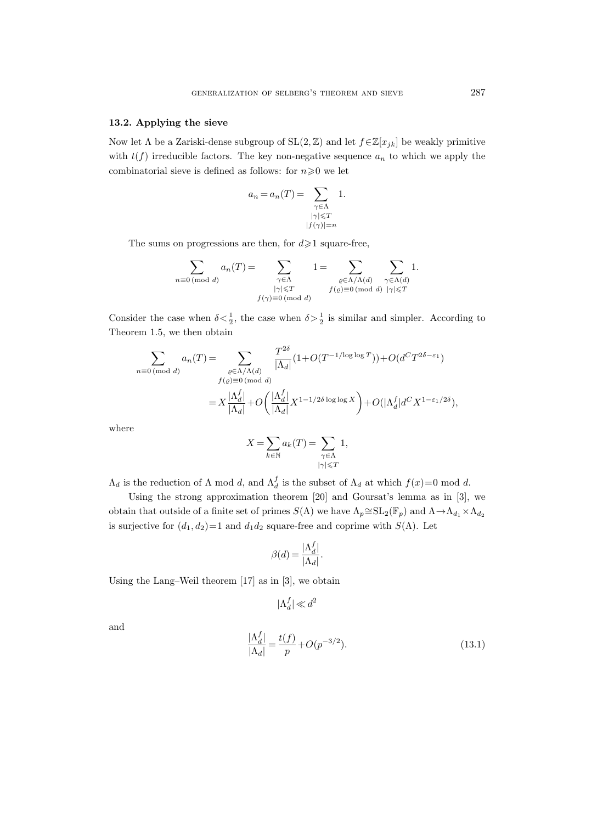#### 13.2. Applying the sieve

Now let  $\Lambda$  be a Zariski-dense subgroup of  $SL(2, \mathbb{Z})$  and let  $f \in \mathbb{Z}[x_{jk}]$  be weakly primitive with  $t(f)$  irreducible factors. The key non-negative sequence  $a_n$  to which we apply the combinatorial sieve is defined as follows: for  $n\geqslant 0$  we let

$$
a_n = a_n(T) = \sum_{\substack{\gamma \in \Lambda \\ |\gamma| \le T \\ |f(\gamma)| = n}} 1.
$$

The sums on progressions are then, for  $d \ge 1$  square-free,

$$
\sum_{n\equiv 0 \pmod{d}} a_n(T) = \sum_{\substack{\gamma \in \Lambda \\ |\gamma| \leq T \\ f(\gamma) \equiv 0 \pmod{d}}} 1 = \sum_{\substack{\varrho \in \Lambda/\Lambda(d) \\ f(\varrho) \equiv 0 \pmod{d}} } \sum_{\substack{\gamma \in \Lambda(d) \\ |\gamma| \leq T}} 1.
$$

Consider the case when  $\delta < \frac{1}{2}$ , the case when  $\delta > \frac{1}{2}$  is similar and simpler. According to Theorem 1.5, we then obtain

$$
\sum_{n\equiv 0 \pmod{d}} a_n(T) = \sum_{\substack{\varrho \in \Lambda/\Lambda(d) \\ f(\varrho)\equiv 0 \pmod{d}}} \frac{T^{2\delta}}{|\Lambda_d|} (1 + O(T^{-1/\log\log T})) + O(d^C T^{2\delta - \varepsilon_1})
$$

$$
= X \frac{|\Lambda_d^f|}{|\Lambda_d|} + O\left(\frac{|\Lambda_d^f|}{|\Lambda_d|} X^{1 - 1/2\delta \log \log X}\right) + O(|\Lambda_d^f| d^C X^{1 - \varepsilon_1/2\delta}),
$$

where

$$
X = \sum_{k \in \mathbb{N}} a_k(T) = \sum_{\substack{\gamma \in \Lambda \\ |\gamma| \leqslant T}} 1,
$$

 $\Lambda_d$  is the reduction of  $\Lambda$  mod d, and  $\Lambda_d^f$  is the subset of  $\Lambda_d$  at which  $f(x)=0 \mod d$ .

Using the strong approximation theorem [20] and Goursat's lemma as in [3], we obtain that outside of a finite set of primes  $S(\Lambda)$  we have  $\Lambda_p \cong SL_2(\mathbb{F}_p)$  and  $\Lambda \to \Lambda_{d_1} \times \Lambda_{d_2}$ is surjective for  $(d_1, d_2)=1$  and  $d_1d_2$  square-free and coprime with  $S(\Lambda)$ . Let

$$
\beta(d) = \frac{|\Lambda_d^f|}{|\Lambda_d|}.
$$

Using the Lang–Weil theorem [17] as in [3], we obtain

$$
|\Lambda_d^f|\ll d^2
$$

and

$$
\frac{|\Lambda_d^f|}{|\Lambda_d|} = \frac{t(f)}{p} + O(p^{-3/2}).
$$
\n(13.1)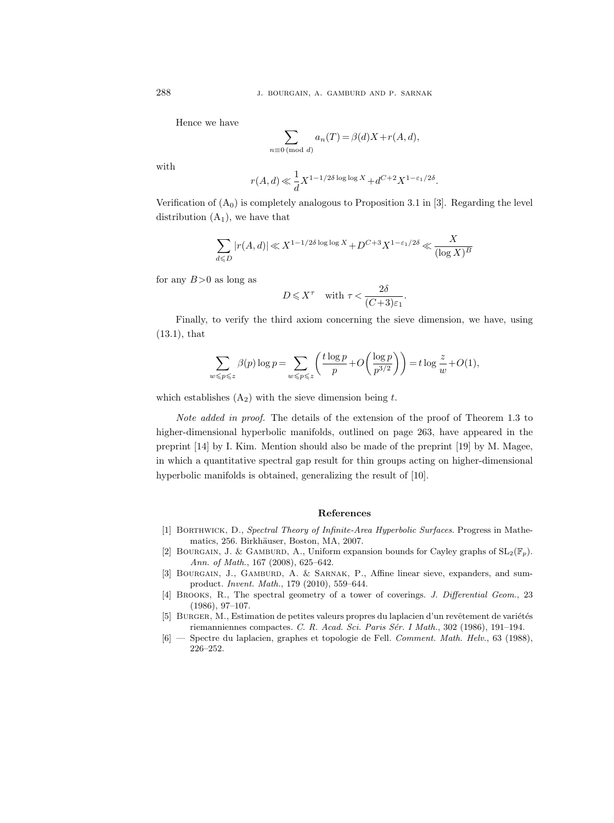Hence we have

$$
\sum_{n\equiv 0 \pmod{d}} a_n(T) = \beta(d)X + r(A, d),
$$

with

$$
r(A, d) \ll \frac{1}{d} X^{1 - 1/2\delta \log \log X} + d^{C + 2} X^{1 - \varepsilon_1/2\delta}.
$$

Verification of  $(A_0)$  is completely analogous to Proposition 3.1 in [3]. Regarding the level distribution  $(A_1)$ , we have that

$$
\sum_{d \leqslant D} |r(A, d)| \ll X^{1 - 1/2\delta \log \log X} + D^{C + 3} X^{1 - \varepsilon_1/2\delta} \ll \frac{X}{(\log X)^B}
$$

for any  $B>0$  as long as

$$
D \leqslant X^{\tau} \quad \text{with } \tau < \frac{2\delta}{(C+3)\varepsilon_1}.
$$

Finally, to verify the third axiom concerning the sieve dimension, we have, using (13.1), that

$$
\sum_{w \leqslant p \leqslant z} \beta(p) \log p = \sum_{w \leqslant p \leqslant z} \left( \frac{t \log p}{p} + O\left(\frac{\log p}{p^{3/2}}\right) \right) = t \log \frac{z}{w} + O(1),
$$

which establishes  $(A_2)$  with the sieve dimension being t.

Note added in proof. The details of the extension of the proof of Theorem 1.3 to higher-dimensional hyperbolic manifolds, outlined on page 263, have appeared in the preprint [14] by I. Kim. Mention should also be made of the preprint [19] by M. Magee, in which a quantitative spectral gap result for thin groups acting on higher-dimensional hyperbolic manifolds is obtained, generalizing the result of [10].

#### References

- [1] Borthwick, D., Spectral Theory of Infinite-Area Hyperbolic Surfaces. Progress in Mathematics, 256. Birkhäuser, Boston, MA, 2007.
- [2] BOURGAIN, J. & GAMBURD, A., Uniform expansion bounds for Cayley graphs of  $SL_2(\mathbb{F}_p)$ . Ann. of Math., 167 (2008), 625–642.
- [3] BOURGAIN, J., GAMBURD, A. & SARNAK, P., Affine linear sieve, expanders, and sumproduct. Invent. Math., 179 (2010), 559–644.
- [4] BROOKS, R., The spectral geometry of a tower of coverings. J. Differential Geom., 23 (1986), 97–107.
- [5] BURGER, M., Estimation de petites valeurs propres du laplacien d'un revêtement de variétés riemanniennes compactes. C. R. Acad. Sci. Paris Sér. I Math., 302 (1986), 191–194.
- [6] Spectre du laplacien, graphes et topologie de Fell. Comment. Math. Helv., 63 (1988), 226–252.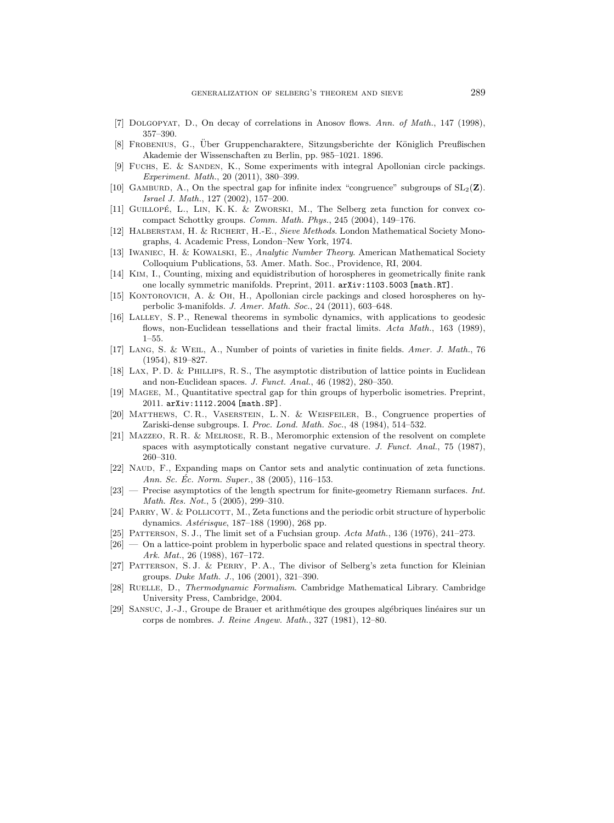- [7] Dolgopyat, D., On decay of correlations in Anosov flows. Ann. of Math., 147 (1998), 357–390.
- [8] FROBENIUS, G., Über Gruppencharaktere, Sitzungsberichte der Königlich Preußischen Akademie der Wissenschaften zu Berlin, pp. 985–1021. 1896.
- [9] Fuchs, E. & Sanden, K., Some experiments with integral Apollonian circle packings. Experiment. Math., 20 (2011), 380–399.
- [10] GAMBURD, A., On the spectral gap for infinite index "congruence" subgroups of  $SL_2(\mathbf{Z})$ . Israel J. Math., 127 (2002), 157–200.
- [11] GUILLOPÉ, L., LIN, K. K. & ZWORSKI, M., The Selberg zeta function for convex cocompact Schottky groups. Comm. Math. Phys., 245 (2004), 149–176.
- [12] HALBERSTAM, H. & RICHERT, H.-E., Sieve Methods. London Mathematical Society Monographs, 4. Academic Press, London–New York, 1974.
- [13] Iwaniec, H. & Kowalski, E., Analytic Number Theory. American Mathematical Society Colloquium Publications, 53. Amer. Math. Soc., Providence, RI, 2004.
- [14] Kim, I., Counting, mixing and equidistribution of horospheres in geometrically finite rank one locally symmetric manifolds. Preprint, 2011. arXiv:1103.5003 [math.RT].
- [15] Kontorovich, A. & Oh, H., Apollonian circle packings and closed horospheres on hyperbolic 3-manifolds. J. Amer. Math. Soc., 24 (2011), 603–648.
- [16] Lalley, S. P., Renewal theorems in symbolic dynamics, with applications to geodesic flows, non-Euclidean tessellations and their fractal limits. Acta Math., 163 (1989), 1–55.
- [17] Lang, S. & Weil, A., Number of points of varieties in finite fields. Amer. J. Math., 76 (1954), 819–827.
- [18] Lax, P. D. & Phillips, R. S., The asymptotic distribution of lattice points in Euclidean and non-Euclidean spaces. J. Funct. Anal., 46 (1982), 280–350.
- [19] Magee, M., Quantitative spectral gap for thin groups of hyperbolic isometries. Preprint, 2011. arXiv:1112.2004 [math.SP].
- [20] Matthews, C. R., Vaserstein, L. N. & Weisfeiler, B., Congruence properties of Zariski-dense subgroups. I. Proc. Lond. Math. Soc., 48 (1984), 514–532.
- [21] Mazzeo, R. R. & Melrose, R. B., Meromorphic extension of the resolvent on complete spaces with asymptotically constant negative curvature. J. Funct. Anal., 75 (1987), 260–310.
- [22] NAUD, F., Expanding maps on Cantor sets and analytic continuation of zeta functions. Ann. Sc. Éc. Norm. Super.,  $38$  (2005), 116–153.
- $[23]$  Precise asymptotics of the length spectrum for finite-geometry Riemann surfaces. Int. Math. Res. Not., 5 (2005), 299–310.
- [24] PARRY, W. & POLLICOTT, M., Zeta functions and the periodic orbit structure of hyperbolic dynamics.  $Ast\acute{e}risque$ , 187–188 (1990), 268 pp.
- [25] PATTERSON, S. J., The limit set of a Fuchsian group. Acta Math., 136 (1976), 241–273.
- [26] On a lattice-point problem in hyperbolic space and related questions in spectral theory. Ark. Mat., 26 (1988), 167–172.
- [27] PATTERSON, S.J. & PERRY, P.A., The divisor of Selberg's zeta function for Kleinian groups. Duke Math. J., 106 (2001), 321–390.
- [28] RUELLE, D., Thermodynamic Formalism. Cambridge Mathematical Library. Cambridge University Press, Cambridge, 2004.
- [29] SANSUC, J.-J., Groupe de Brauer et arithmétique des groupes algébriques linéaires sur un corps de nombres. J. Reine Angew. Math., 327 (1981), 12–80.